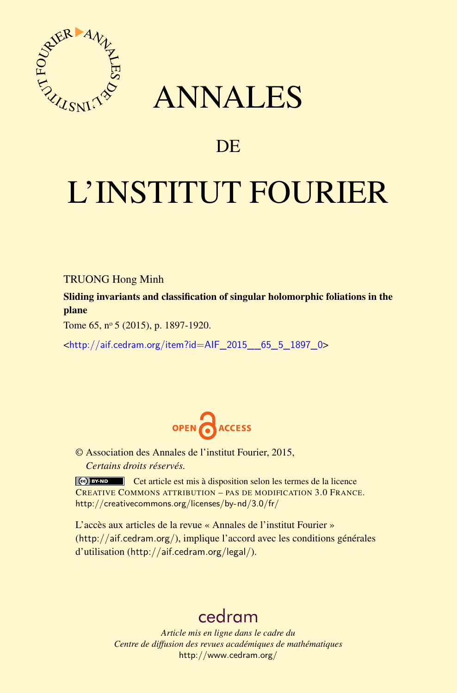

## ANNALES

## **DE**

# L'INSTITUT FOURIER

#### TRUONG Hong Minh

Sliding invariants and classification of singular holomorphic foliations in the plane

Tome 65, nº 5 (2015), p. 1897-1920.

<[http://aif.cedram.org/item?id=AIF\\_2015\\_\\_65\\_5\\_1897\\_0](http://aif.cedram.org/item?id=AIF_2015__65_5_1897_0)>



© Association des Annales de l'institut Fourier, 2015, *Certains droits réservés.*

Cet article est mis à disposition selon les termes de la licence CREATIVE COMMONS ATTRIBUTION – PAS DE MODIFICATION 3.0 FRANCE. <http://creativecommons.org/licenses/by-nd/3.0/fr/>

L'accès aux articles de la revue « Annales de l'institut Fourier » (<http://aif.cedram.org/>), implique l'accord avec les conditions générales d'utilisation (<http://aif.cedram.org/legal/>).

## [cedram](http://www.cedram.org/)

*Article mis en ligne dans le cadre du Centre de diffusion des revues académiques de mathématiques* <http://www.cedram.org/>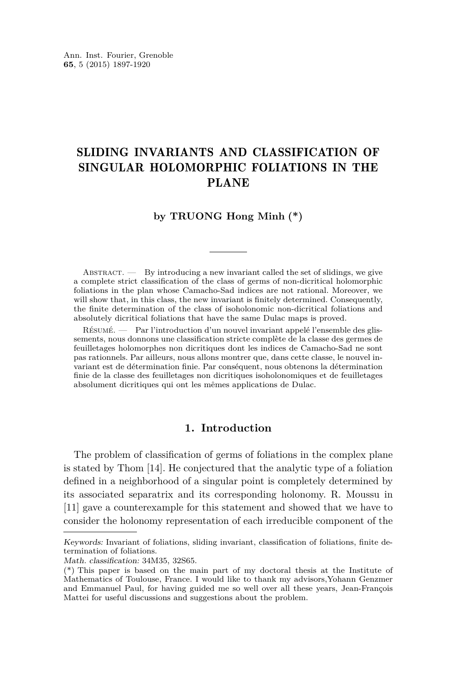### SLIDING INVARIANTS AND CLASSIFICATION OF SINGULAR HOLOMORPHIC FOLIATIONS IN THE PLANE

#### **by TRUONG Hong Minh (\*)**

ABSTRACT.  $\qquad$  By introducing a new invariant called the set of slidings, we give a complete strict classification of the class of germs of non-dicritical holomorphic foliations in the plan whose Camacho-Sad indices are not rational. Moreover, we will show that, in this class, the new invariant is finitely determined. Consequently, the finite determination of the class of isoholonomic non-dicritical foliations and absolutely dicritical foliations that have the same Dulac maps is proved.

Résumé. — Par l'introduction d'un nouvel invariant appelé l'ensemble des glissements, nous donnons une classification stricte complète de la classe des germes de feuilletages holomorphes non dicritiques dont les indices de Camacho-Sad ne sont pas rationnels. Par ailleurs, nous allons montrer que, dans cette classe, le nouvel invariant est de détermination finie. Par conséquent, nous obtenons la détermination finie de la classe des feuilletages non dicritiques isoholonomiques et de feuilletages absolument dicritiques qui ont les mêmes applications de Dulac.

#### **1. Introduction**

The problem of classification of germs of foliations in the complex plane is stated by Thom [\[14\]](#page-24-0). He conjectured that the analytic type of a foliation defined in a neighborhood of a singular point is completely determined by its associated separatrix and its corresponding holonomy. R. Moussu in [\[11\]](#page-24-0) gave a counterexample for this statement and showed that we have to consider the holonomy representation of each irreducible component of the

Keywords: Invariant of foliations, sliding invariant, classification of foliations, finite determination of foliations.

Math. classification: 34M35, 32S65.

<sup>(\*)</sup> This paper is based on the main part of my doctoral thesis at the Institute of Mathematics of Toulouse, France. I would like to thank my advisors,Yohann Genzmer and Emmanuel Paul, for having guided me so well over all these years, Jean-François Mattei for useful discussions and suggestions about the problem.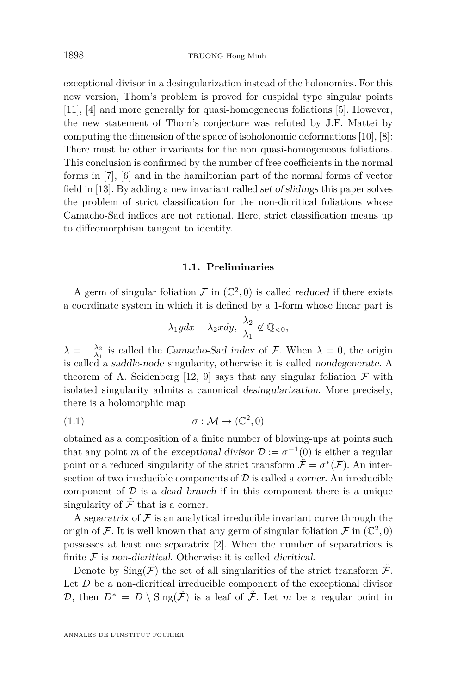<span id="page-2-0"></span>exceptional divisor in a desingularization instead of the holonomies. For this new version, Thom's problem is proved for cuspidal type singular points [\[11\]](#page-24-0), [\[4\]](#page-24-0) and more generally for quasi-homogeneous foliations [\[5\]](#page-24-0). However, the new statement of Thom's conjecture was refuted by J.F. Mattei by computing the dimension of the space of isoholonomic deformations [\[10\]](#page-24-0), [\[8\]](#page-24-0): There must be other invariants for the non quasi-homogeneous foliations. This conclusion is confirmed by the number of free coefficients in the normal forms in [\[7\]](#page-24-0), [\[6\]](#page-24-0) and in the hamiltonian part of the normal forms of vector field in [\[13\]](#page-24-0). By adding a new invariant called set of slidings this paper solves the problem of strict classification for the non-dicritical foliations whose Camacho-Sad indices are not rational. Here, strict classification means up to diffeomorphism tangent to identity.

#### **1.1. Preliminaries**

A germ of singular foliation  $\mathcal F$  in  $(\mathbb C^2,0)$  is called *reduced* if there exists a coordinate system in which it is defined by a 1-form whose linear part is

$$
\lambda_1 y dx + \lambda_2 x dy, \ \frac{\lambda_2}{\lambda_1} \notin \mathbb{Q}_{<0},
$$

 $\lambda = -\frac{\lambda_2}{\lambda_1}$  is called the *Camacho-Sad index* of *F*. When  $\lambda = 0$ , the origin is called a saddle-node singularity, otherwise it is called nondegenerate. A theorem of A. Seidenberg [\[12,](#page-24-0) [9\]](#page-24-0) says that any singular foliation  $\mathcal F$  with isolated singularity admits a canonical desingularization. More precisely, there is a holomorphic map

$$
(1.1) \qquad \qquad \sigma : \mathcal{M} \to (\mathbb{C}^2, 0)
$$

obtained as a composition of a finite number of blowing-ups at points such that any point *m* of the exceptional divisor  $\mathcal{D} := \sigma^{-1}(0)$  is either a regular point or a reduced singularity of the strict transform  $\tilde{\mathcal{F}} = \sigma^*(\mathcal{F})$ . An intersection of two irreducible components of  $\mathcal D$  is called a *corner*. An irreducible component of  $D$  is a dead branch if in this component there is a unique singularity of  $\tilde{\mathcal{F}}$  that is a corner.

A separatrix of  $\mathcal F$  is an analytical irreducible invariant curve through the origin of  $\mathcal F$ . It is well known that any germ of singular foliation  $\mathcal F$  in  $(\mathbb C^2,0)$ possesses at least one separatrix [\[2\]](#page-24-0). When the number of separatrices is finite  $\mathcal F$  is non-dicritical. Otherwise it is called dicritical.

Denote by  $\text{Sing}(\mathcal{F})$  the set of all singularities of the strict transform  $\mathcal{F}$ . Let *D* be a non-dicritical irreducible component of the exceptional divisor D, then  $D^* = D \setminus \text{Sing}(\tilde{\mathcal{F}})$  is a leaf of  $\tilde{\mathcal{F}}$ . Let m be a regular point in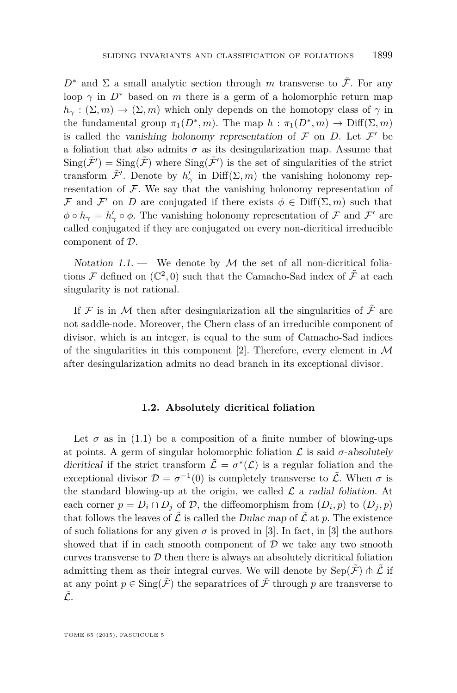<span id="page-3-0"></span> $D^*$  and  $\Sigma$  a small analytic section through *m* transverse to  $\tilde{\mathcal{F}}$ . For any loop  $\gamma$  in  $D^*$  based on *m* there is a germ of a holomorphic return map  $h_\gamma : (\Sigma, m) \to (\Sigma, m)$  which only depends on the homotopy class of  $\gamma$  in the fundamental group  $\pi_1(D^*, m)$ . The map  $h : \pi_1(D^*, m) \to \text{Diff}(\Sigma, m)$ is called the vanishing holonomy representation of  $\mathcal F$  on  $D$ . Let  $\mathcal F'$  be a foliation that also admits  $\sigma$  as its desingularization map. Assume that  $\text{Sing}(\tilde{\mathcal{F}}') = \text{Sing}(\tilde{\mathcal{F}})$  where  $\text{Sing}(\tilde{\mathcal{F}}')$  is the set of singularities of the strict transform  $\tilde{\mathcal{F}}'$ . Denote by  $h'_{\gamma}$  in Diff $(\Sigma, m)$  the vanishing holonomy representation of  $F$ . We say that the vanishing holonomy representation of F and F' on D are conjugated if there exists  $\phi \in \text{Diff}(\Sigma, m)$  such that  $\phi \circ h_{\gamma} = h'_{\gamma} \circ \phi$ . The vanishing holonomy representation of  $\mathcal F$  and  $\mathcal F'$  are called conjugated if they are conjugated on every non-dicritical irreducible component of D.

Notation 1.1. — We denote by  $\mathcal M$  the set of all non-dicritical foliations  $\mathcal F$  defined on  $(\mathbb C^2,0)$  such that the Camacho-Sad index of  $\tilde{\mathcal F}$  at each singularity is not rational.

If  ${\mathcal F}$  is in  ${\mathcal M}$  then after desingularization all the singularities of  $\tilde{\mathcal F}$  are not saddle-node. Moreover, the Chern class of an irreducible component of divisor, which is an integer, is equal to the sum of Camacho-Sad indices of the singularities in this component [\[2\]](#page-24-0). Therefore, every element in  $\mathcal M$ after desingularization admits no dead branch in its exceptional divisor.

#### **1.2. Absolutely dicritical foliation**

Let  $\sigma$  as in [\(1.1\)](#page-2-0) be a composition of a finite number of blowing-ups at points. A germ of singular holomorphic foliation  $\mathcal L$  is said  $\sigma$ -absolutely dicritical if the strict transform  $\tilde{\mathcal{L}} = \sigma^*(\mathcal{L})$  is a regular foliation and the exceptional divisor  $\mathcal{D} = \sigma^{-1}(0)$  is completely transverse to  $\tilde{\mathcal{L}}$ . When  $\sigma$  is the standard blowing-up at the origin, we called  $\mathcal L$  a radial foliation. At each corner  $p = D_i \cap D_j$  of  $D$ , the diffeomorphism from  $(D_i, p)$  to  $(D_j, p)$ that follows the leaves of  $\tilde{\mathcal{L}}$  is called the Dulac map of  $\tilde{\mathcal{L}}$  at p. The existence of such foliations for any given  $\sigma$  is proved in [\[3\]](#page-24-0). In fact, in [3] the authors showed that if in each smooth component of  $\mathcal D$  we take any two smooth curves transverse to  $D$  then there is always an absolutely dicritical foliation admitting them as their integral curves. We will denote by  $\text{Sep}(\tilde{\mathcal{F}}) \pitchfork \tilde{\mathcal{L}}$  if at any point  $p \in \text{Sing}(\tilde{\mathcal{F}})$  the separatrices of  $\tilde{\mathcal{F}}$  through p are transverse to  $\tilde{\mathcal{L}}$ .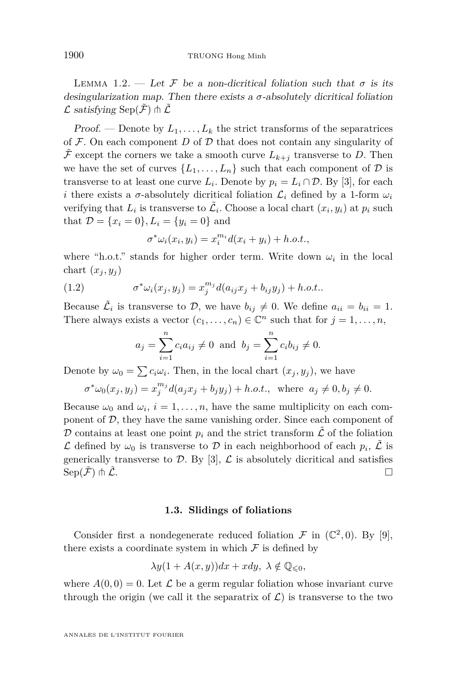<span id="page-4-0"></span>LEMMA 1.2. — Let F be a non-dicritical foliation such that  $\sigma$  is its desingularization map. Then there exists a  $\sigma$ -absolutely dicritical foliation  $\mathcal L$  satisfying Sep( $\tilde{\mathcal F}$ )  $\Uparrow \tilde{\mathcal L}$ 

Proof. — Denote by  $L_1, \ldots, L_k$  the strict transforms of the separatrices of  $\mathcal F$ . On each component  $D$  of  $\mathcal D$  that does not contain any singularity of  $\mathcal F$  except the corners we take a smooth curve  $L_{k+j}$  transverse to *D*. Then we have the set of curves  $\{L_1, \ldots, L_n\}$  such that each component of  $\mathcal D$  is transverse to at least one curve  $L_i$ . Denote by  $p_i = L_i \cap \mathcal{D}$ . By [\[3\]](#page-24-0), for each *i* there exists a *σ*-absolutely dicritical foliation  $\mathcal{L}_i$  defined by a 1-form  $\omega_i$ verifying that  $L_i$  is transverse to  $\tilde{L}_i$ . Choose a local chart  $(x_i, y_i)$  at  $p_i$  such that  $\mathcal{D} = \{x_i = 0\}, L_i = \{y_i = 0\}$  and

$$
\sigma^* \omega_i(x_i, y_i) = x_i^{m_i} d(x_i + y_i) + h.o.t.,
$$

where "h.o.t." stands for higher order term. Write down  $\omega_i$  in the local chart  $(x_i, y_i)$ 

(1.2) 
$$
\sigma^* \omega_i(x_j, y_j) = x_j^{m_j} d(a_{ij} x_j + b_{ij} y_j) + h.o.t..
$$

*σ*

Because  $\tilde{\mathcal{L}}_i$  is transverse to  $\mathcal{D}$ , we have  $b_{ij} \neq 0$ . We define  $a_{ii} = b_{ii} = 1$ . There always exists a vector  $(c_1, \ldots, c_n) \in \mathbb{C}^n$  such that for  $j = 1, \ldots, n$ ,

$$
a_j = \sum_{i=1}^n c_i a_{ij} \neq 0
$$
 and  $b_j = \sum_{i=1}^n c_i b_{ij} \neq 0$ .

Denote by  $\omega_0 = \sum c_i \omega_i$ . Then, in the local chart  $(x_j, y_j)$ , we have

$$
\sigma^* \omega_0(x_j, y_j) = x_j^{m_j} d(a_j x_j + b_j y_j) + h.o.t., \text{ where } a_j \neq 0, b_j \neq 0.
$$

Because  $\omega_0$  and  $\omega_i$ ,  $i = 1, \ldots, n$ , have the same multiplicity on each component of  $D$ , they have the same vanishing order. Since each component of  $D$  contains at least one point  $p_i$  and the strict transform  $\tilde{\mathcal{L}}$  of the foliation  $\mathcal L$  defined by  $\omega_0$  is transverse to  $\mathcal D$  in each neighborhood of each  $p_i$ ,  $\tilde{\mathcal L}$  is generically transverse to  $\mathcal{D}$ . By [\[3\]](#page-24-0),  $\mathcal{L}$  is absolutely dicritical and satisfies  $\mathrm{Sep}(\tilde{\mathcal{F}})\pitchfork\tilde{\mathcal{L}}.$ 

#### **1.3. Slidings of foliations**

Consider first a nondegenerate reduced foliation  $\mathcal F$  in  $(\mathbb C^2,0)$ . By [\[9\]](#page-24-0), there exists a coordinate system in which  $\mathcal F$  is defined by

$$
\lambda y(1 + A(x, y))dx + xdy, \ \lambda \notin \mathbb{Q}_{\leq 0},
$$

where  $A(0,0) = 0$ . Let  $\mathcal L$  be a germ regular foliation whose invariant curve through the origin (we call it the separatrix of  $\mathcal{L}$ ) is transverse to the two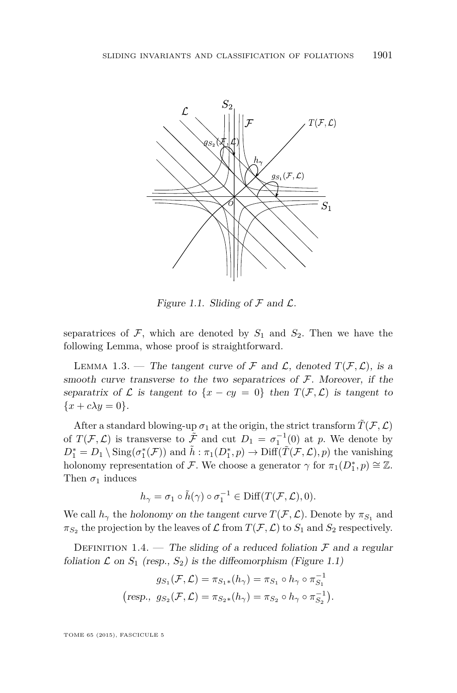

Figure 1.1. Sliding of  $\mathcal F$  and  $\mathcal L$ .

separatrices of  $\mathcal{F}$ , which are denoted by  $S_1$  and  $S_2$ . Then we have the following Lemma, whose proof is straightforward.

LEMMA 1.3. — The tangent curve of  $\mathcal F$  and  $\mathcal L$ , denoted  $T(\mathcal F,\mathcal L)$ , is a smooth curve transverse to the two separatrices of  $\mathcal F$ . Moreover, if the separatrix of  $\mathcal L$  is tangent to  $\{x - cy = 0\}$  then  $T(\mathcal F, \mathcal L)$  is tangent to  ${x + c\lambda y = 0}.$ 

After a standard blowing-up  $\sigma_1$  at the origin, the strict transform  $\tilde{T}(\mathcal{F}, \mathcal{L})$ of  $T(\mathcal{F}, \mathcal{L})$  is transverse to  $\tilde{\mathcal{F}}$  and cut  $D_1 = \sigma_1^{-1}(0)$  at *p*. We denote by  $D_1^* = D_1 \setminus \text{Sing}(\sigma_1^*(\mathcal{F}))$  and  $\tilde{h}: \pi_1(D_1^*, p) \to \text{Diff}(\tilde{T}(\mathcal{F}, \mathcal{L}), p)$  the vanishing holonomy representation of F. We choose a generator  $\gamma$  for  $\pi_1(D_1^*, p) \cong \mathbb{Z}$ . Then  $\sigma_1$  induces

$$
h_\gamma = \sigma_1 \circ \tilde{h}(\gamma) \circ \sigma_1^{-1} \in \mathrm{Diff}(T(\mathcal{F}, \mathcal{L}), 0).
$$

We call  $h_\gamma$  the holonomy on the tangent curve  $T(\mathcal{F}, \mathcal{L})$ . Denote by  $\pi_{S_1}$  and  $\pi_{S_2}$  the projection by the leaves of  $\mathcal L$  from  $T(\mathcal F,\mathcal L)$  to  $S_1$  and  $S_2$  respectively.

DEFINITION 1.4. — The sliding of a reduced foliation  $\mathcal F$  and a regular foliation  $\mathcal L$  on  $S_1$  (resp.,  $S_2$ ) is the diffeomorphism (Figure 1.1)

$$
g_{S_1}(\mathcal{F}, \mathcal{L}) = \pi_{S_1*}(h_{\gamma}) = \pi_{S_1} \circ h_{\gamma} \circ \pi_{S_1}^{-1}
$$
  
(resp.,  $g_{S_2}(\mathcal{F}, \mathcal{L}) = \pi_{S_2*}(h_{\gamma}) = \pi_{S_2} \circ h_{\gamma} \circ \pi_{S_2}^{-1}$ ).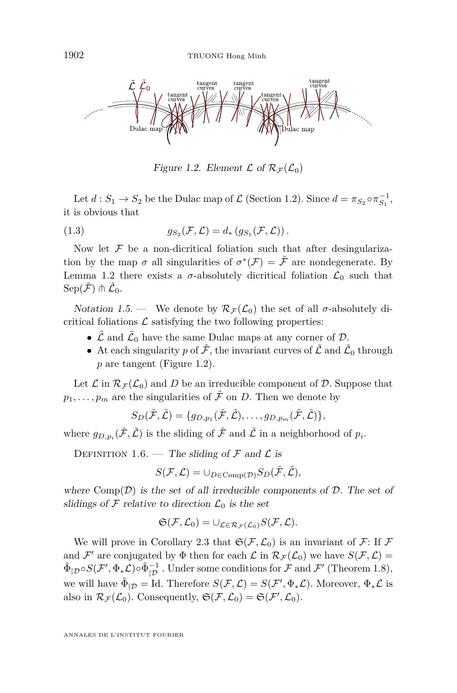<span id="page-6-0"></span>

Figure 1.2. Element  $\mathcal L$  of  $\mathcal R_{\mathcal F}(\mathcal L_0)$ 

Let  $d: S_1 \to S_2$  be the Dulac map of  $\mathcal{L}$  (Section [1.2\)](#page-3-0). Since  $d = \pi_{S_2} \circ \pi_{S_1}^{-1}$ , it is obvious that

(1.3) 
$$
g_{S_2}(\mathcal{F}, \mathcal{L}) = d_* \left( g_{S_1}(\mathcal{F}, \mathcal{L}) \right).
$$

Now let  $F$  be a non-dicritical foliation such that after desingularization by the map  $\sigma$  all singularities of  $\sigma^*(\mathcal{F}) = \tilde{\mathcal{F}}$  are nondegenerate. By Lemma [1.2](#page-4-0) there exists a  $\sigma$ -absolutely dicritical foliation  $\mathcal{L}_0$  such that  $\mathrm{Sep}(\tilde{\mathcal{F}})\pitchfork \tilde{\mathcal{L}}_0.$ 

Notation 1.5. — We denote by  $\mathcal{R}_{\mathcal{F}}(\mathcal{L}_0)$  the set of all  $\sigma$ -absolutely dicritical foliations  $\mathcal L$  satisfying the two following properties:

- $\tilde{\mathcal{L}}$  and  $\tilde{\mathcal{L}}_0$  have the same Dulac maps at any corner of  $\mathcal{D}$ .
- At each singularity  $p$  of  $\tilde{\mathcal{F}}$ , the invariant curves of  $\tilde{\mathcal{L}}$  and  $\tilde{\mathcal{L}}_0$  through *p* are tangent (Figure 1.2).

Let  $\mathcal L$  in  $\mathcal R_{\mathcal F}(\mathcal L_0)$  and D be an irreducible component of D. Suppose that  $p_1, \ldots, p_m$  are the singularities of  $\tilde{\mathcal{F}}$  on *D*. Then we denote by

$$
S_D(\tilde{\mathcal{F}}, \tilde{\mathcal{L}}) = \{g_{D,p_1}(\tilde{\mathcal{F}}, \tilde{\mathcal{L}}), \ldots, g_{D,p_m}(\tilde{\mathcal{F}}, \tilde{\mathcal{L}})\},\
$$

where  $g_{D,p_i}(\tilde{\mathcal{F}}, \tilde{\mathcal{L}})$  is the sliding of  $\tilde{\mathcal{F}}$  and  $\tilde{\mathcal{L}}$  in a neighborhood of  $p_i$ .

DEFINITION 1.6. — The sliding of  $\mathcal F$  and  $\mathcal L$  is

$$
S(\mathcal{F}, \mathcal{L}) = \cup_{D \in \operatorname{Comp}(\mathcal{D})} S_D(\tilde{\mathcal{F}}, \tilde{\mathcal{L}}),
$$

where  $Comp(\mathcal{D})$  is the set of all irreducible components of  $\mathcal{D}$ . The set of slidings of  $\mathcal F$  relative to direction  $\mathcal L_0$  is the set

$$
\mathfrak{S}(\mathcal{F},\mathcal{L}_0)=\cup_{\mathcal{L}\in\mathcal{R}_{\mathcal{F}}(\mathcal{L}_0)}S(\mathcal{F},\mathcal{L}).
$$

We will prove in Corollary [2.3](#page-13-0) that  $\mathfrak{S}(\mathcal{F}, \mathcal{L}_0)$  is an invariant of  $\mathcal{F}$ : If  $\mathcal{F}$ and  $\mathcal{F}'$  are conjugated by  $\Phi$  then for each  $\mathcal{L}$  in  $\mathcal{R}_{\mathcal{F}}(\mathcal{L}_0)$  we have  $S(\mathcal{F}, \mathcal{L}) =$  $\tilde{\Phi}_{|\mathcal{D}} \circ S(\mathcal{F}', \Phi_* \mathcal{L}) \circ \tilde{\Phi}_{|\mathcal{D}}^{-1}$ . Under some conditions for  $\mathcal{F}$  and  $\mathcal{F}'$  (Theorem [1.8\)](#page-8-0), we will have  $\tilde{\Phi}_{|\mathcal{D}} =$  Id. Therefore  $S(\mathcal{F}, \mathcal{L}) = S(\mathcal{F}', \Phi_*\mathcal{L})$ . Moreover,  $\Phi_*\mathcal{L}$  is also in  $\mathcal{R}_{\mathcal{F}}(\mathcal{L}_0)$ . Consequently,  $\mathfrak{S}(\mathcal{F}, \mathcal{L}_0) = \mathfrak{S}(\mathcal{F}', \mathcal{L}_0)$ .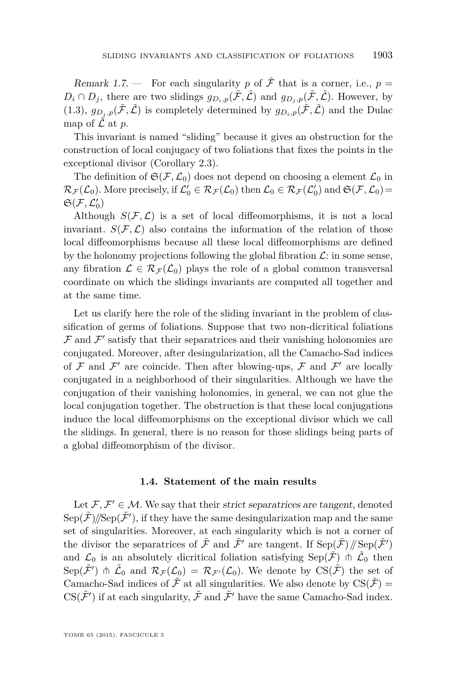<span id="page-7-0"></span>Remark 1.7. — For each singularity p of  $\tilde{\mathcal{F}}$  that is a corner, i.e.,  $p =$  $D_i \cap D_j$ , there are two slidings  $g_{D_i,p}(\tilde{\mathcal{F}},\tilde{\mathcal{L}})$  and  $g_{D_i,p}(\tilde{\mathcal{F}},\tilde{\mathcal{L}})$ . However, by [\(1.3\)](#page-6-0),  $g_{D_i,p}(\tilde{\mathcal{F}},\tilde{\mathcal{L}})$  is completely determined by  $g_{D_i,p}(\tilde{\mathcal{F}},\tilde{\mathcal{L}})$  and the Dulac map of  $\tilde{\mathcal{L}}$  at *p*.

This invariant is named "sliding" because it gives an obstruction for the construction of local conjugacy of two foliations that fixes the points in the exceptional divisor (Corollary [2.3\)](#page-13-0).

The definition of  $\mathfrak{S}(\mathcal{F}, \mathcal{L}_0)$  does not depend on choosing a element  $\mathcal{L}_0$  in  $\mathcal{R}_{\mathcal{F}}(\mathcal{L}_0)$ . More precisely, if  $\mathcal{L}'_0 \in \mathcal{R}_{\mathcal{F}}(\mathcal{L}_0)$  then  $\mathcal{L}_0 \in \mathcal{R}_{\mathcal{F}}(\mathcal{L}'_0)$  and  $\mathfrak{S}(\mathcal{F},\mathcal{L}_0)$  $\mathfrak{S}(\mathcal{F},\mathcal{L}_0')$ 

Although  $S(\mathcal{F}, \mathcal{L})$  is a set of local diffeomorphisms, it is not a local invariant.  $S(\mathcal{F}, \mathcal{L})$  also contains the information of the relation of those local diffeomorphisms because all these local diffeomorphisms are defined by the holonomy projections following the global fibration  $\mathcal{L}$ : in some sense, any fibration  $\mathcal{L} \in \mathcal{R}_{\mathcal{F}}(\mathcal{L}_0)$  plays the role of a global common transversal coordinate on which the slidings invariants are computed all together and at the same time.

Let us clarify here the role of the sliding invariant in the problem of classification of germs of foliations. Suppose that two non-dicritical foliations  $\mathcal F$  and  $\mathcal F'$  satisfy that their separatrices and their vanishing holonomies are conjugated. Moreover, after desingularization, all the Camacho-Sad indices of  $\mathcal F$  and  $\mathcal F'$  are coincide. Then after blowing-ups,  $\mathcal F$  and  $\mathcal F'$  are locally conjugated in a neighborhood of their singularities. Although we have the conjugation of their vanishing holonomies, in general, we can not glue the local conjugation together. The obstruction is that these local conjugations induce the local diffeomorphisms on the exceptional divisor which we call the slidings. In general, there is no reason for those slidings being parts of a global diffeomorphism of the divisor.

#### **1.4. Statement of the main results**

Let  $\mathcal{F}, \mathcal{F}' \in \mathcal{M}$ . We say that their strict separatrices are tangent, denoted  $\text{Sep}(\tilde{\mathcal{F}})/\!/\text{Sep}(\tilde{\mathcal{F}}')$ , if they have the same desingularization map and the same set of singularities. Moreover, at each singularity which is not a corner of the divisor the separatrices of  $\tilde{\mathcal{F}}$  and  $\tilde{\mathcal{F}}'$  are tangent. If  $\text{Sep}(\tilde{\mathcal{F}})/\text{Sep}(\tilde{\mathcal{F}}')$ and  $\mathcal{L}_0$  is an absolutely dicritical foliation satisfying  $\text{Sep}(\tilde{\mathcal{F}})$   $\pitchfork$   $\tilde{\mathcal{L}}_0$  then Sep $(\tilde{\mathcal{F}}')$   $\Uparrow$   $\tilde{\mathcal{L}}_0$  and  $\mathcal{R}_{\mathcal{F}}(\mathcal{L}_0) = \mathcal{R}_{\mathcal{F}'}(\mathcal{L}_0)$ . We denote by  $CS(\tilde{\mathcal{F}})$  the set of Camacho-Sad indices of  $\tilde{\mathcal{F}}$  at all singularities. We also denote by  $CS(\tilde{\mathcal{F}})$  =  $\mathrm{CS}(\tilde{\mathcal{F}}')$  if at each singularity,  $\tilde{\mathcal{F}}$  and  $\tilde{\mathcal{F}}'$  have the same Camacho-Sad index.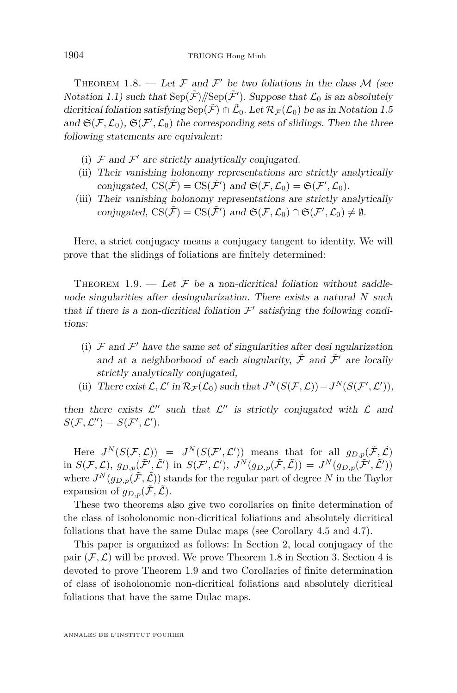<span id="page-8-0"></span>THEOREM 1.8. — Let  $\mathcal F$  and  $\mathcal F'$  be two foliations in the class  $\mathcal M$  (see Notation [1.1\)](#page-3-0) such that  $\text{Sep}(\tilde{\mathcal{F}})/\text{Sep}(\tilde{\mathcal{F}}')$ . Suppose that  $\mathcal{L}_0$  is an absolutely dicritical foliation satisfying  $\mathrm{Sep}(\tilde{\mathcal{F}})\pitchfork\tilde{\mathcal{L}}_0$ . Let  $\mathcal{R}_{\mathcal{F}}(\mathcal{L}_0)$  be as in Notation [1.5](#page-6-0) and  $\mathfrak{S}(\mathcal{F}, \mathcal{L}_0)$ ,  $\mathfrak{S}(\mathcal{F}', \mathcal{L}_0)$  the corresponding sets of slidings. Then the three following statements are equivalent:

- (i)  $\mathcal F$  and  $\mathcal F'$  are strictly analytically conjugated.
- (ii) Their vanishing holonomy representations are strictly analytically conjugated,  $CS(\tilde{\mathcal{F}}) = CS(\tilde{\mathcal{F}}')$  and  $\mathfrak{S}(\mathcal{F}, \mathcal{L}_0) = \mathfrak{S}(\mathcal{F}', \mathcal{L}_0)$ .
- (iii) Their vanishing holonomy representations are strictly analytically conjugated,  $CS(\tilde{\mathcal{F}}) = CS(\tilde{\mathcal{F}}')$  and  $\mathfrak{S}(\mathcal{F}, \mathcal{L}_0) \cap \mathfrak{S}(\mathcal{F}', \mathcal{L}_0) \neq \emptyset$ .

Here, a strict conjugacy means a conjugacy tangent to identity. We will prove that the slidings of foliations are finitely determined:

THEOREM 1.9. — Let  $\mathcal F$  be a non-dicritical foliation without saddlenode singularities after desingularization. There exists a natural *N* such that if there is a non-dicritical foliation  $\mathcal{F}'$  satisfying the following conditions:

- (i)  $\mathcal F$  and  $\mathcal F'$  have the same set of singularities after desi ngularization and at a neighborhood of each singularity,  $\tilde{\mathcal{F}}$  and  $\tilde{\mathcal{F}}'$  are locally strictly analytically conjugated,
- (ii) There exist  $\mathcal{L}, \mathcal{L}'$  in  $\mathcal{R}_{\mathcal{F}}(\mathcal{L}_0)$  such that  $J^N(S(\mathcal{F}, \mathcal{L})) = J^N(S(\mathcal{F}', \mathcal{L}'))$ ,

then there exists  $\mathcal{L}''$  such that  $\mathcal{L}''$  is strictly conjugated with  $\mathcal L$  and  $S(\mathcal{F}, \mathcal{L}'') = S(\mathcal{F}', \mathcal{L}').$ 

Here  $J^N(S(\mathcal{F}, \mathcal{L})) = J^N(S(\mathcal{F}', \mathcal{L}'))$  means that for all  $g_{D,p}(\tilde{\mathcal{F}}, \tilde{\mathcal{L}})$  $\lim_{\Delta S} S(\mathcal{F}, \mathcal{L}), g_{D,p}(\tilde{\mathcal{F}}', \tilde{\mathcal{L}}') \text{ in } S(\mathcal{F}', \mathcal{L}'), J^N(g_{D,p}(\tilde{\mathcal{F}}, \tilde{\mathcal{L}})) = J^N(g_{D,p}(\tilde{\mathcal{F}}', \tilde{\mathcal{L}}'))$ where  $J^N(g_{D,p}(\tilde{\mathcal{F}},\tilde{\mathcal{L}}))$  stands for the regular part of degree N in the Taylor expansion of  $q_{D,p}(\tilde{\mathcal{F}}, \tilde{\mathcal{L}})$ .

These two theorems also give two corollaries on finite determination of the class of isoholonomic non-dicritical foliations and absolutely dicritical foliations that have the same Dulac maps (see Corollary [4.5](#page-22-0) and [4.7\)](#page-22-0).

This paper is organized as follows: In Section [2,](#page-9-0) local conjugacy of the pair  $(\mathcal{F}, \mathcal{L})$  will be proved. We prove Theorem 1.8 in Section [3.](#page-14-0) Section [4](#page-16-0) is devoted to prove Theorem 1.9 and two Corollaries of finite determination of class of isoholonomic non-dicritical foliations and absolutely dicritical foliations that have the same Dulac maps.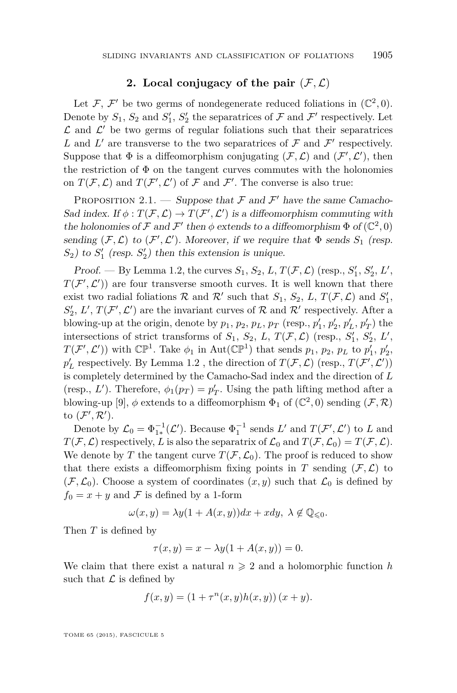#### **2.** Local conjugacy of the pair  $(F, \mathcal{L})$

<span id="page-9-0"></span>Let F, F' be two germs of nondegenerate reduced foliations in  $(\mathbb{C}^2, 0)$ . Denote by  $S_1$ ,  $S_2$  and  $S_1'$ ,  $S_2'$  the separatrices of  $\mathcal F$  and  $\mathcal F'$  respectively. Let  $\mathcal L$  and  $\mathcal L'$  be two germs of regular foliations such that their separatrices L and L' are transverse to the two separatrices of  $\mathcal F$  and  $\mathcal F'$  respectively. Suppose that  $\Phi$  is a diffeomorphism conjugating  $(\mathcal{F}, \mathcal{L})$  and  $(\mathcal{F}', \mathcal{L}')$ , then the restriction of  $\Phi$  on the tangent curves commutes with the holonomies on  $T(\mathcal{F}, \mathcal{L})$  and  $T(\mathcal{F}', \mathcal{L}')$  of  $\mathcal F$  and  $\mathcal F'$ . The converse is also true:

PROPOSITION 2.1. — Suppose that  $\mathcal F$  and  $\mathcal F'$  have the same Camacho-Sad index. If  $\phi: T(\mathcal{F}, \mathcal{L}) \to T(\mathcal{F}', \mathcal{L}')$  is a diffeomorphism commuting with the holonomies of  $\mathcal F$  and  $\mathcal F'$  then  $\phi$  extends to a diffeomorphism  $\Phi$  of  $(\mathbb C^2,0)$ sending  $(F, \mathcal{L})$  to  $(F', \mathcal{L}')$ . Moreover, if we require that  $\Phi$  sends  $S_1$  (resp.  $S_2$ ) to  $S_1'$  (resp.  $S_2'$ ) then this extension is unique.

*Proof.* — By Lemma [1.2,](#page-4-0) the curves  $S_1$ ,  $S_2$ ,  $L$ ,  $T(\mathcal{F}, \mathcal{L})$  (resp.,  $S'_1$ ,  $S'_2$ ,  $L'$ ,  $T(\mathcal{F}', \mathcal{L}')$  are four transverse smooth curves. It is well known that there exist two radial foliations  $\mathcal{R}$  and  $\mathcal{R}'$  such that  $S_1$ ,  $S_2$ ,  $L$ ,  $T(\mathcal{F}, \mathcal{L})$  and  $S'_1$ ,  $S'_2$ ,  $L'$ ,  $T(\mathcal{F}', \mathcal{L}')$  are the invariant curves of  $\mathcal R$  and  $\mathcal R'$  respectively. After a blowing-up at the origin, denote by  $p_1$ ,  $p_2$ ,  $p_L$ ,  $p_T$  (resp.,  $p'_1$ ,  $p'_2$ ,  $p'_L$ ,  $p'_T$ ) the intersections of strict transforms of  $S_1$ ,  $S_2$ ,  $L$ ,  $T(\mathcal{F}, \mathcal{L})$  (resp.,  $S'_1$ ,  $S'_2$ ,  $L'$ ,  $T(\mathcal{F}', \mathcal{L}')$  with  $\mathbb{CP}^1$ . Take  $\phi_1$  in Aut( $\mathbb{CP}^1$ ) that sends  $p_1, p_2, p_L$  to  $p'_1, p'_2$ ,  $p'_L$  respectively. By Lemma [1.2](#page-4-0) , the direction of  $T(\mathcal{F},\mathcal{L})$  (resp.,  $T(\mathcal{F}',\mathcal{L}'))$ is completely determined by the Camacho-Sad index and the direction of *L* (resp.,  $L'$ ). Therefore,  $\phi_1(p_T) = p'_T$ . Using the path lifting method after a blowing-up [\[9\]](#page-24-0),  $\phi$  extends to a diffeomorphism  $\Phi_1$  of  $(\mathbb{C}^2, 0)$  sending  $(\mathcal{F}, \mathcal{R})$ to  $(\mathcal{F}', \mathcal{R}')$ .

Denote by  $\mathcal{L}_0 = \Phi_{1*}^{-1}(\mathcal{L}')$ . Because  $\Phi_1^{-1}$  sends  $L'$  and  $T(\mathcal{F}', \mathcal{L}')$  to  $L$  and  $T(F, \mathcal{L})$  respectively, *L* is also the separatrix of  $\mathcal{L}_0$  and  $T(F, \mathcal{L}_0) = T(F, \mathcal{L})$ . We denote by *T* the tangent curve  $T(F, \mathcal{L}_0)$ . The proof is reduced to show that there exists a diffeomorphism fixing points in *T* sending  $(F, \mathcal{L})$  to  $(\mathcal{F}, \mathcal{L}_0)$ . Choose a system of coordinates  $(x, y)$  such that  $\mathcal{L}_0$  is defined by  $f_0 = x + y$  and F is defined by a 1-form

$$
\omega(x,y) = \lambda y (1 + A(x,y)) dx + x dy, \ \lambda \notin \mathbb{Q}_{\leq 0}.
$$

Then *T* is defined by

$$
\tau(x, y) = x - \lambda y (1 + A(x, y)) = 0.
$$

We claim that there exist a natural  $n \geq 2$  and a holomorphic function *h* such that  $\mathcal L$  is defined by

$$
f(x, y) = (1 + \tau^{n}(x, y)h(x, y))(x + y).
$$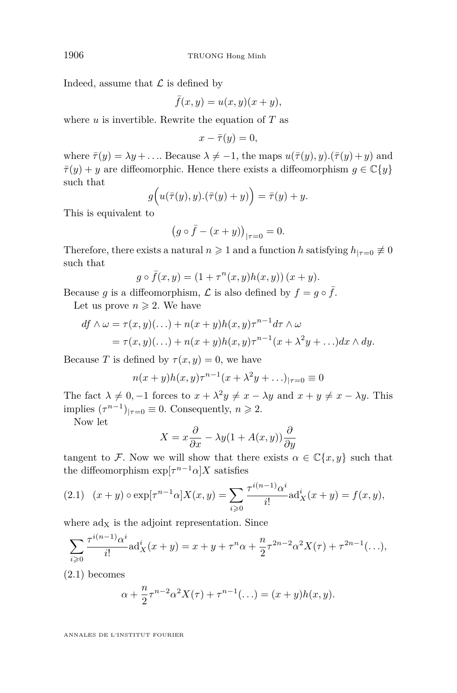Indeed, assume that  $\mathcal L$  is defined by

$$
\bar{f}(x,y) = u(x,y)(x+y),
$$

where *u* is invertible. Rewrite the equation of *T* as

$$
x - \bar{\tau}(y) = 0,
$$

where  $\bar{\tau}(y) = \lambda y + \ldots$  Because  $\lambda \neq -1$ , the maps  $u(\bar{\tau}(y), y) \cdot (\bar{\tau}(y) + y)$  and  $\bar{\tau}(y) + y$  are diffeomorphic. Hence there exists a diffeomorphism  $g \in \mathbb{C}\{y\}$ such that

$$
g(u(\overline{\tau}(y), y).(\overline{\tau}(y) + y)) = \overline{\tau}(y) + y.
$$

This is equivalent to

$$
(g \circ \bar{f} - (x + y))_{|\tau=0} = 0.
$$

Therefore, there exists a natural  $n \ge 1$  and a function *h* satisfying  $h_{|\tau=0} \not\equiv 0$ such that

$$
g \circ \bar{f}(x, y) = (1 + \tau^{n}(x, y)h(x, y))(x + y).
$$

Because *g* is a diffeomorphism,  $\mathcal L$  is also defined by  $f = g \circ \overline{f}$ .

Let us prove  $n \geqslant 2$ . We have

$$
df \wedge \omega = \tau(x, y)(\ldots) + n(x + y)h(x, y)\tau^{n-1}d\tau \wedge \omega
$$
  
=  $\tau(x, y)(\ldots) + n(x + y)h(x, y)\tau^{n-1}(x + \lambda^2y + \ldots)dx \wedge dy.$ 

Because *T* is defined by  $\tau(x, y) = 0$ , we have

$$
n(x+y)h(x,y)\tau^{n-1}(x+\lambda^2y+\ldots)|_{\tau=0}\equiv 0
$$

The fact  $\lambda \neq 0, -1$  forces to  $x + \lambda^2 y \neq x - \lambda y$  and  $x + y \neq x - \lambda y$ . This implies  $(\tau^{n-1})_{|\tau=0} \equiv 0$ . Consequently,  $n \geq 2$ .

Now let

$$
X = x\frac{\partial}{\partial x} - \lambda y(1 + A(x, y))\frac{\partial}{\partial y}
$$

tangent to F. Now we will show that there exists  $\alpha \in \mathbb{C}\{x, y\}$  such that the diffeomorphism  $\exp[\tau^{n-1} \alpha] X$  satisfies

(2.1) 
$$
(x + y) \circ \exp[\tau^{n-1} \alpha] X(x, y) = \sum_{i \geq 0} \frac{\tau^{i(n-1)} \alpha^i}{i!} \text{ad}_X^i(x + y) = f(x, y),
$$

where  $\text{ad}_X$  is the adjoint representation. Since

$$
\sum_{i\geqslant 0} \frac{\tau^{i(n-1)}\alpha^i}{i!} \text{ad}_X^i(x+y) = x + y + \tau^n \alpha + \frac{n}{2} \tau^{2n-2} \alpha^2 X(\tau) + \tau^{2n-1}(\ldots),
$$

(2.1) becomes

$$
\alpha + \frac{n}{2} \tau^{n-2} \alpha^2 X(\tau) + \tau^{n-1} (\dots) = (x+y)h(x,y).
$$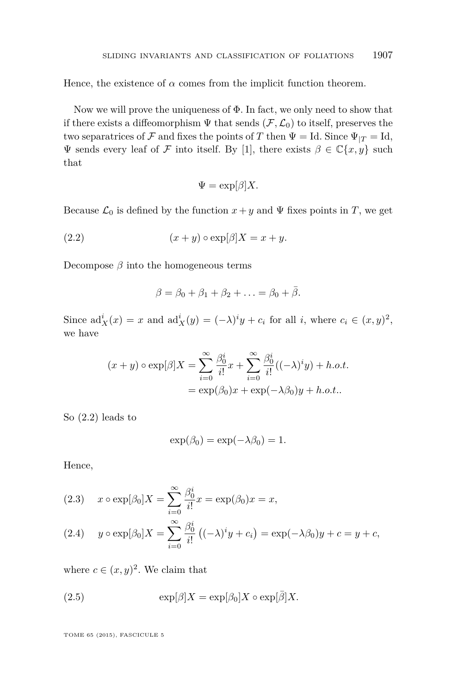<span id="page-11-0"></span>Hence, the existence of  $\alpha$  comes from the implicit function theorem.

Now we will prove the uniqueness of  $\Phi$ . In fact, we only need to show that if there exists a diffeomorphism  $\Psi$  that sends  $(\mathcal{F}, \mathcal{L}_0)$  to itself, preserves the two separatrices of F and fixes the points of T then  $\Psi = Id$ . Since  $\Psi_{|T} = Id$ , Ψ sends every leaf of F into itself. By [\[1\]](#page-24-0), there exists *β* ∈ C{*x, y*} such that

$$
\Psi = \exp[\beta]X.
$$

Because  $\mathcal{L}_0$  is defined by the function  $x + y$  and  $\Psi$  fixes points in *T*, we get

(2.2) 
$$
(x+y)\circ \exp[\beta]X = x+y.
$$

Decompose  $\beta$  into the homogeneous terms

$$
\beta = \beta_0 + \beta_1 + \beta_2 + \ldots = \beta_0 + \overline{\beta}.
$$

Since  $\mathrm{ad}_X^i(x) = x$  and  $\mathrm{ad}_X^i(y) = (-\lambda)^i y + c_i$  for all *i*, where  $c_i \in (x, y)^2$ , we have

$$
(x+y)\circ \exp[\beta]X = \sum_{i=0}^{\infty} \frac{\beta_0^i}{i!}x + \sum_{i=0}^{\infty} \frac{\beta_0^i}{i!}((-\lambda)^iy) + h.o.t.
$$
  
=  $\exp(\beta_0)x + \exp(-\lambda\beta_0)y + h.o.t.$ 

So (2.2) leads to

$$
\exp(\beta_0) = \exp(-\lambda \beta_0) = 1.
$$

Hence,

(2.3) 
$$
x \circ \exp[\beta_0]X = \sum_{i=0}^{\infty} \frac{\beta_0^i}{i!} x = \exp(\beta_0) x = x,
$$
  
(2.4)  $y \circ \exp[\beta_0]X = \sum_{i=0}^{\infty} \frac{\beta_0^i}{i!} ((-\lambda)^i y + c_i) = \exp(-\lambda \beta_0) y + c = y + c,$ 

where  $c \in (x, y)^2$ . We claim that

(2.5) 
$$
\exp[\beta]X = \exp[\beta_0]X \circ \exp[\bar{\beta}]X.
$$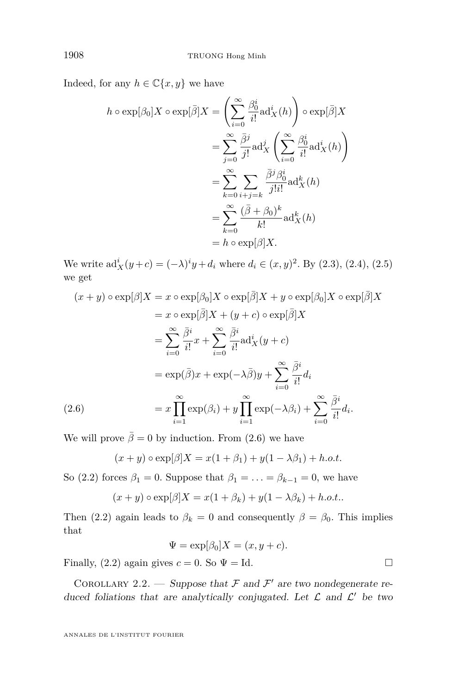<span id="page-12-0"></span>Indeed, for any  $h \in \mathbb{C}\{x, y\}$  we have

$$
h \circ \exp[\beta_0] X \circ \exp[\bar{\beta}] X = \left( \sum_{i=0}^{\infty} \frac{\beta_0^i}{i!} \mathrm{ad}_X^i(h) \right) \circ \exp[\bar{\beta}] X
$$
  

$$
= \sum_{j=0}^{\infty} \frac{\bar{\beta}^j}{j!} \mathrm{ad}_X^j \left( \sum_{i=0}^{\infty} \frac{\beta_0^i}{i!} \mathrm{ad}_X^i(h) \right)
$$
  

$$
= \sum_{k=0}^{\infty} \sum_{i+j=k} \frac{\bar{\beta}^j \beta_0^i}{j!i!} \mathrm{ad}_X^k(h)
$$
  

$$
= \sum_{k=0}^{\infty} \frac{(\bar{\beta} + \beta_0)^k}{k!} \mathrm{ad}_X^k(h)
$$
  

$$
= h \circ \exp[\beta] X.
$$

We write  $\mathrm{ad}^i_X(y+c) = (-\lambda)^i y + d_i$  where  $d_i \in (x, y)^2$ . By [\(2.3\)](#page-11-0), [\(2.4\)](#page-11-0), [\(2.5\)](#page-11-0) we get

$$
(x + y) \circ \exp[\beta]X = x \circ \exp[\beta_0]X \circ \exp[\bar{\beta}]X + y \circ \exp[\beta_0]X \circ \exp[\bar{\beta}]X
$$
  
\n
$$
= x \circ \exp[\bar{\beta}]X + (y + c) \circ \exp[\bar{\beta}]X
$$
  
\n
$$
= \sum_{i=0}^{\infty} \frac{\bar{\beta}^i}{i!}x + \sum_{i=0}^{\infty} \frac{\bar{\beta}^i}{i!}ad_X^i(y + c)
$$
  
\n
$$
= \exp(\bar{\beta})x + \exp(-\lambda\bar{\beta})y + \sum_{i=0}^{\infty} \frac{\bar{\beta}^i}{i!}d_i
$$
  
\n(2.6)  
\n
$$
= x \prod_{i=1}^{\infty} \exp(\beta_i) + y \prod_{i=1}^{\infty} \exp(-\lambda\beta_i) + \sum_{i=0}^{\infty} \frac{\bar{\beta}^i}{i!}d_i.
$$

We will prove  $\bar{\beta} = 0$  by induction. From (2.6) we have

$$
(x+y)\circ \exp[\beta]X = x(1+\beta_1) + y(1-\lambda\beta_1) + h.o.t.
$$

So [\(2.2\)](#page-11-0) forces  $\beta_1 = 0$ . Suppose that  $\beta_1 = \ldots = \beta_{k-1} = 0$ , we have

$$
(x+y)\circ \exp[\beta]X = x(1+\beta_k) + y(1-\lambda\beta_k) + h.o.t..
$$

Then [\(2.2\)](#page-11-0) again leads to  $\beta_k = 0$  and consequently  $\beta = \beta_0$ . This implies that

$$
\Psi = \exp[\beta_0]X = (x, y + c).
$$

Finally, [\(2.2\)](#page-11-0) again gives  $c = 0$ . So  $\Psi = Id$ .

COROLLARY 2.2. — Suppose that  $\mathcal F$  and  $\mathcal F'$  are two nondegenerate reduced foliations that are analytically conjugated. Let  $\mathcal L$  and  $\mathcal L'$  be two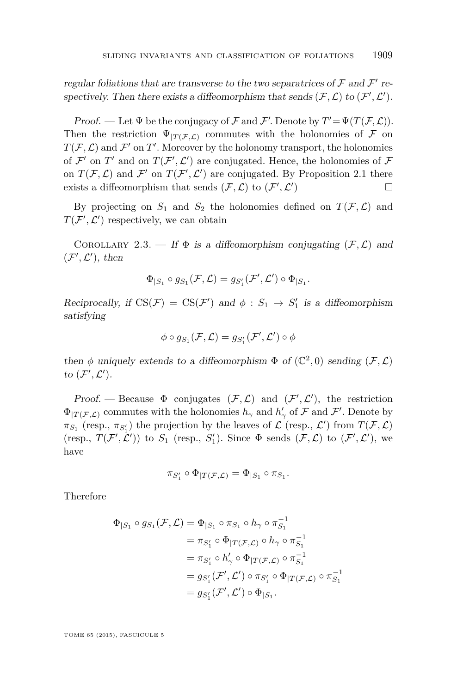<span id="page-13-0"></span>regular foliations that are transverse to the two separatrices of  $\mathcal F$  and  $\mathcal F'$  respectively. Then there exists a diffeomorphism that sends  $(\mathcal{F}, \mathcal{L})$  to  $(\mathcal{F}', \mathcal{L}')$ .

Proof. — Let  $\Psi$  be the conjugacy of  $\mathcal F$  and  $\mathcal F'$ . Denote by  $T' = \Psi(T(\mathcal F, \mathcal L)).$ Then the restriction  $\Psi_{|T(\mathcal{F},\mathcal{L})}$  commutes with the holonomies of F on  $T(\mathcal{F}, \mathcal{L})$  and  $\mathcal{F}'$  on  $T'$ . Moreover by the holonomy transport, the holonomies of  $\mathcal{F}'$  on  $T'$  and on  $T(\mathcal{F}', \mathcal{L}')$  are conjugated. Hence, the holonomies of  $\mathcal F$ on  $T(\mathcal{F}, \mathcal{L})$  and  $\mathcal{F}'$  on  $T(\mathcal{F}', \mathcal{L}')$  are conjugated. By Proposition [2.1](#page-9-0) there exists a diffeomorphism that sends  $(\mathcal{F}, \mathcal{L})$  to  $(\mathcal{F}', \mathcal{L}')$ ) and  $\Box$ 

By projecting on  $S_1$  and  $S_2$  the holonomies defined on  $T(\mathcal{F}, \mathcal{L})$  and  $T(\mathcal{F}', \mathcal{L}')$  respectively, we can obtain

COROLLARY 2.3. — If  $\Phi$  is a diffeomorphism conjugating  $(\mathcal{F}, \mathcal{L})$  and  $(\mathcal{F}', \mathcal{L}')$ , then

$$
\Phi_{|S_1} \circ g_{S_1}(\mathcal{F}, \mathcal{L}) = g_{S_1'}(\mathcal{F}', \mathcal{L}') \circ \Phi_{|S_1}.
$$

Reciprocally, if  $CS(\mathcal{F}) = CS(\mathcal{F}')$  and  $\phi : S_1 \to S'_1$  is a diffeomorphism satisfying

$$
\phi \circ g_{S_1}(\mathcal{F},\mathcal{L}) = g_{S_1'}(\mathcal{F}',\mathcal{L}') \circ \phi
$$

then  $\phi$  uniquely extends to a diffeomorphism  $\Phi$  of  $(\mathbb{C}^2,0)$  sending  $(\mathcal{F},\mathcal{L})$ to  $(\mathcal{F}', \mathcal{L}')$ .

Proof. — Because  $\Phi$  conjugates  $(\mathcal{F}, \mathcal{L})$  and  $(\mathcal{F}', \mathcal{L}')$ , the restriction  $\Phi_{|T(\mathcal{F},\mathcal{L})}$  commutes with the holonomies  $h_{\gamma}$  and  $h'_{\gamma}$  of  $\mathcal{F}$  and  $\mathcal{F}'$ . Denote by  $\pi_{S_1}$  (resp.,  $\pi_{S'_1}$ ) the projection by the leaves of  $\mathcal L$  (resp.,  $\mathcal L'$ ) from  $T(\mathcal F,\mathcal L)$ (resp.,  $T(\mathcal{F}', \mathcal{L}')$ ) to  $S_1$  (resp.,  $S'_1$ ). Since  $\Phi$  sends  $(\mathcal{F}, \mathcal{L})$  to  $(\mathcal{F}', \mathcal{L}')$ , we have

$$
\pi_{S_1'} \circ \Phi_{|T(\mathcal{F}, \mathcal{L})} = \Phi_{|S_1} \circ \pi_{S_1}.
$$

Therefore

$$
\Phi_{|S_1} \circ g_{S_1}(\mathcal{F}, \mathcal{L}) = \Phi_{|S_1} \circ \pi_{S_1} \circ h_{\gamma} \circ \pi_{S_1}^{-1}
$$
  
\n
$$
= \pi_{S'_1} \circ \Phi_{|T(\mathcal{F}, \mathcal{L})} \circ h_{\gamma} \circ \pi_{S_1}^{-1}
$$
  
\n
$$
= \pi_{S'_1} \circ h'_{\gamma} \circ \Phi_{|T(\mathcal{F}, \mathcal{L})} \circ \pi_{S_1}^{-1}
$$
  
\n
$$
= g_{S'_1}(\mathcal{F}', \mathcal{L}') \circ \pi_{S'_1} \circ \Phi_{|T(\mathcal{F}, \mathcal{L})} \circ \pi_{S_1}^{-1}
$$
  
\n
$$
= g_{S'_1}(\mathcal{F}', \mathcal{L}') \circ \Phi_{|S_1}.
$$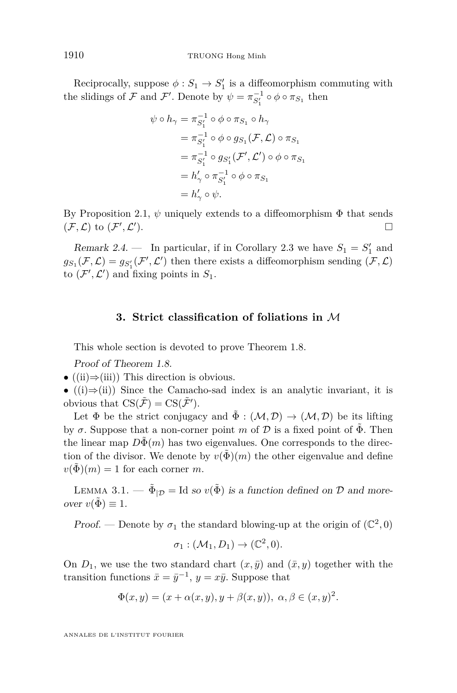Reciprocally, suppose  $\phi: S_1 \to S_1'$  is a diffeomorphism commuting with the slidings of  $\mathcal F$  and  $\mathcal F'$ . Denote by  $\psi = \pi_{S'_1}^{-1} \circ \phi \circ \pi_{S_1}$  then

$$
\psi \circ h_{\gamma} = \pi_{S_1'}^{-1} \circ \phi \circ \pi_{S_1} \circ h_{\gamma}
$$
  
\n
$$
= \pi_{S_1'}^{-1} \circ \phi \circ g_{S_1}(\mathcal{F}, \mathcal{L}) \circ \pi_{S_1}
$$
  
\n
$$
= \pi_{S_1'}^{-1} \circ g_{S_1'}(\mathcal{F}', \mathcal{L}') \circ \phi \circ \pi_{S_1}
$$
  
\n
$$
= h'_{\gamma} \circ \pi_{S_1'}^{-1} \circ \phi \circ \pi_{S_1}
$$
  
\n
$$
= h'_{\gamma} \circ \psi.
$$

By Proposition [2.1,](#page-9-0)  $\psi$  uniquely extends to a diffeomorphism  $\Phi$  that sends  $(\mathcal{F}, \mathcal{L})$  to  $(\mathcal{F}', \mathcal{L}')$  $\Box$ 

Remark 2.4. – In particular, if in Corollary [2.3](#page-13-0) we have  $S_1 = S_1'$  and  $g_{S_1}(\mathcal{F}, \mathcal{L}) = g_{S_1'}(\mathcal{F}', \mathcal{L}')$  then there exists a diffeomorphism sending  $(\mathcal{F}, \mathcal{L})$ to  $(\mathcal{F}', \mathcal{L}')$  and fixing points in  $S_1$ .

#### **3. Strict classification of foliations in** M

This whole section is devoted to prove Theorem [1.8.](#page-8-0)

Proof of Theorem [1.8.](#page-8-0)

- $((ii) \Rightarrow (iii))$  This direction is obvious.
- $((i) \Rightarrow (ii))$  Since the Camacho-sad index is an analytic invariant, it is obvious that  $\text{CS}(\tilde{\mathcal{F}}) = \text{CS}(\tilde{\mathcal{F}}')$ .

Let  $\Phi$  be the strict conjugacy and  $\tilde{\Phi}: (\mathcal{M}, \mathcal{D}) \to (\mathcal{M}, \mathcal{D})$  be its lifting by  $\sigma$ . Suppose that a non-corner point *m* of  $\mathcal{D}$  is a fixed point of  $\tilde{\Phi}$ . Then the linear map  $D\Phi(m)$  has two eigenvalues. One corresponds to the direction of the divisor. We denote by  $v(\tilde{\Phi})(m)$  the other eigenvalue and define  $v(\Phi)(m) = 1$  for each corner *m*.

LEMMA 3.1. —  $\tilde{\Phi}_{|\mathcal{D}} = \text{Id}$  so  $v(\tilde{\Phi})$  is a function defined on  $\mathcal{D}$  and moreover  $v(\tilde{\Phi}) \equiv 1$ .

Proof. — Denote by  $\sigma_1$  the standard blowing-up at the origin of  $(\mathbb{C}^2, 0)$ 

$$
\sigma_1: (\mathcal{M}_1, D_1) \to (\mathbb{C}^2, 0).
$$

On  $D_1$ , we use the two standard chart  $(x, \bar{y})$  and  $(\bar{x}, y)$  together with the transition functions  $\bar{x} = \bar{y}^{-1}$ ,  $y = x\bar{y}$ . Suppose that

$$
\Phi(x,y) = (x + \alpha(x,y), y + \beta(x,y)), \ \alpha, \beta \in (x,y)^2.
$$

<span id="page-14-0"></span>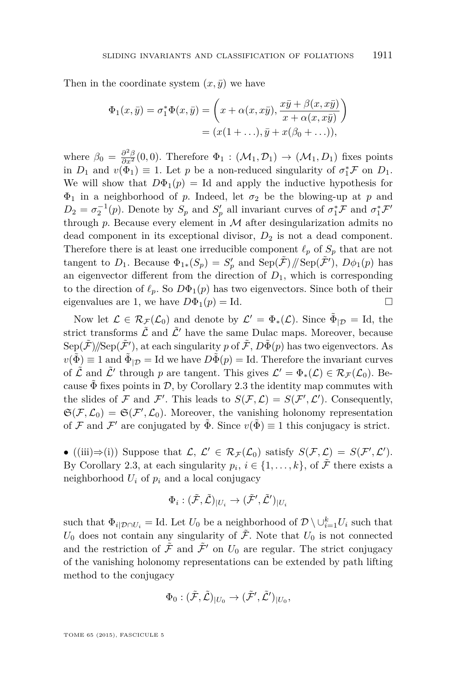Then in the coordinate system  $(x, \bar{y})$  we have

$$
\Phi_1(x,\bar{y}) = \sigma_1^* \Phi(x,\bar{y}) = \left(x + \alpha(x,x\bar{y}), \frac{x\bar{y} + \beta(x,x\bar{y})}{x + \alpha(x,x\bar{y})}\right)
$$

$$
= (x(1 + \ldots), \bar{y} + x(\beta_0 + \ldots)),
$$

where  $\beta_0 = \frac{\partial^2 \beta}{\partial x^2}(0,0)$ . Therefore  $\Phi_1 : (\mathcal{M}_1, \mathcal{D}_1) \to (\mathcal{M}_1, D_1)$  fixes points in  $D_1$  and  $v(\Phi_1) \equiv 1$ . Let  $p$  be a non-reduced singularity of  $\sigma_1^* \mathcal{F}$  on  $D_1$ . We will show that  $D\Phi_1(p) = \text{Id}$  and apply the inductive hypothesis for  $\Phi_1$  in a neighborhood of *p*. Indeed, let  $\sigma_2$  be the blowing-up at *p* and  $D_2 = \sigma_2^{-1}(p)$ . Denote by  $S_p$  and  $S'_p$  all invariant curves of  $\sigma_1^* \mathcal{F}$  and  $\sigma_1^* \mathcal{F}'$ through  $p$ . Because every element in  $M$  after desingularization admits no dead component in its exceptional divisor, *D*<sup>2</sup> is not a dead component. Therefore there is at least one irreducible component  $\ell_p$  of  $S_p$  that are not tangent to  $D_1$ . Because  $\Phi_{1*}(S_p) = S'_p$  and  $\text{Sep}(\tilde{\mathcal{F}})/\text{/Sep}(\tilde{\mathcal{F}}')$ ,  $D\phi_1(p)$  has an eigenvector different from the direction of  $D_1$ , which is corresponding to the direction of  $\ell_p$ . So  $D\Phi_1(p)$  has two eigenvectors. Since both of their eigenvalues are 1, we have  $D\Phi_1(p) = \text{Id}$ .

Now let  $\mathcal{L} \in \mathcal{R}_{\mathcal{F}}(\mathcal{L}_0)$  and denote by  $\mathcal{L}' = \Phi_*(\mathcal{L})$ . Since  $\tilde{\Phi}_{|\mathcal{D}} = \text{Id}$ , the strict transforms  $\tilde{\mathcal{L}}$  and  $\tilde{\mathcal{L}}'$  have the same Dulac maps. Moreover, because  $\text{Sep}(\tilde{\mathcal{F}})/\!/\!\text{Sep}(\tilde{\mathcal{F}}'),$  at each singularity  $p$  of  $\tilde{\mathcal{F}},$   $D\tilde{\Phi}(p)$  has two eigenvectors. As  $v(\tilde{\Phi}) \equiv 1$  and  $\tilde{\Phi}_{|\mathcal{D}} = \text{Id}$  we have  $D\tilde{\Phi}(p) = \text{Id}$ . Therefore the invariant curves of  $\tilde{\mathcal{L}}$  and  $\tilde{\mathcal{L}}'$  through *p* are tangent. This gives  $\mathcal{L}' = \Phi_*(\mathcal{L}) \in \mathcal{R}_{\mathcal{F}}(\mathcal{L}_0)$ . Because  $\tilde{\Phi}$  fixes points in D, by Corollary [2.3](#page-13-0) the identity map commutes with the slides of F and F'. This leads to  $S(F, \mathcal{L}) = S(F', \mathcal{L}')$ . Consequently,  $\mathfrak{S}(\mathcal{F},\mathcal{L}_0)=\mathfrak{S}(\mathcal{F}',\mathcal{L}_0).$  Moreover, the vanishing holonomy representation of F and F' are conjugated by  $\tilde{\Phi}$ . Since  $v(\tilde{\Phi}) \equiv 1$  this conjugacy is strict.

• ((iii)  $\Rightarrow$  (i)) Suppose that  $\mathcal{L}, \mathcal{L}' \in \mathcal{R}_{\mathcal{F}}(\mathcal{L}_0)$  satisfy  $S(\mathcal{F}, \mathcal{L}) = S(\mathcal{F}', \mathcal{L}')$ . By Corollary [2.3,](#page-13-0) at each singularity  $p_i, i \in \{1, \ldots, k\}$ , of  $\tilde{\mathcal{F}}$  there exists a neighborhood  $U_i$  of  $p_i$  and a local conjugacy

$$
\Phi_i: (\tilde{\mathcal{F}}, \tilde{\mathcal{L}})_{|U_i} \to (\tilde{\mathcal{F}}', \tilde{\mathcal{L}}')_{|U_i}
$$

such that  $\Phi_{i|\mathcal{D}\cap U_i} = \text{Id}$ . Let  $U_0$  be a neighborhood of  $\mathcal{D} \setminus \cup_{i=1}^k U_i$  such that  $U_0$  does not contain any singularity of  $\tilde{\mathcal{F}}$ . Note that  $U_0$  is not connected and the restriction of  $\tilde{\mathcal{F}}$  and  $\tilde{\mathcal{F}}'$  on  $U_0$  are regular. The strict conjugacy of the vanishing holonomy representations can be extended by path lifting method to the conjugacy

$$
\Phi_0: (\tilde{\mathcal{F}}, \tilde{\mathcal{L}})_{|U_0} \to (\tilde{\mathcal{F}}', \tilde{\mathcal{L}}')_{|U_0},
$$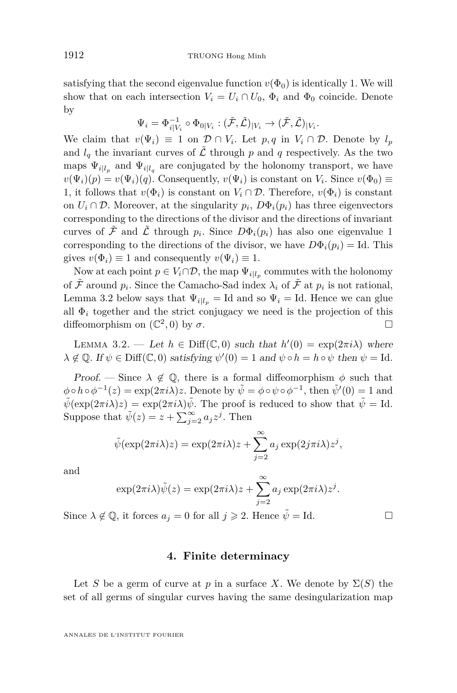<span id="page-16-0"></span>satisfying that the second eigenvalue function  $v(\Phi_0)$  is identically 1. We will show that on each intersection  $V_i = U_i \cap U_0$ ,  $\Phi_i$  and  $\Phi_0$  coincide. Denote by

$$
\Psi_i = \Phi_{i|V_i}^{-1} \circ \Phi_{0|V_i} : (\tilde{\mathcal{F}}, \tilde{\mathcal{L}})_{|V_i} \to (\tilde{\mathcal{F}}, \tilde{\mathcal{L}})_{|V_i}.
$$

We claim that  $v(\Psi_i) \equiv 1$  on  $\mathcal{D} \cap V_i$ . Let  $p, q$  in  $V_i \cap \mathcal{D}$ . Denote by  $l_p$ and  $l_q$  the invariant curves of  $\tilde{\mathcal{L}}$  through p and q respectively. As the two maps  $\Psi_{i|l_p}$  and  $\Psi_{i|l_q}$  are conjugated by the holonomy transport, we have  $v(\Psi_i)(p) = v(\Psi_i)(q)$ . Consequently,  $v(\Psi_i)$  is constant on  $V_i$ . Since  $v(\Phi_0) \equiv$ 1, it follows that  $v(\Phi_i)$  is constant on  $V_i \cap \mathcal{D}$ . Therefore,  $v(\Phi_i)$  is constant on  $U_i \cap \mathcal{D}$ . Moreover, at the singularity  $p_i$ ,  $D\Phi_i(p_i)$  has three eigenvectors corresponding to the directions of the divisor and the directions of invariant curves of  $\tilde{\mathcal{F}}$  and  $\tilde{\mathcal{L}}$  through  $p_i$ . Since  $D\Phi_i(p_i)$  has also one eigenvalue 1 corresponding to the directions of the divisor, we have  $D\Phi_i(p_i) = \text{Id}$ . This gives  $v(\Phi_i) \equiv 1$  and consequently  $v(\Psi_i) \equiv 1$ .

Now at each point  $p \in V_i \cap \mathcal{D}$ , the map  $\Psi_{i|l_p}$  commutes with the holonomy of  $\tilde{\mathcal{F}}$  around  $p_i$ . Since the Camacho-Sad index  $\lambda_i$  of  $\tilde{\mathcal{F}}$  at  $p_i$  is not rational, Lemma 3.2 below says that  $\Psi_{i|l_p} = \text{Id}$  and so  $\Psi_i = \text{Id}$ . Hence we can glue all  $\Phi_i$  together and the strict conjugacy we need is the projection of this diffeomorphism on  $(\mathbb{C}^2, 0)$  by  $\sigma$ .

LEMMA 3.2. — Let  $h \in \text{Diff}(\mathbb{C}, 0)$  such that  $h'(0) = \exp(2\pi i \lambda)$  where  $\lambda \notin \mathbb{Q}$ . If  $\psi \in \text{Diff}(\mathbb{C}, 0)$  satisfying  $\psi'(0) = 1$  and  $\psi \circ h = h \circ \psi$  then  $\psi = \text{Id}$ .

Proof. — Since  $\lambda \notin \mathbb{Q}$ , there is a formal diffeomorphism  $\phi$  such that  $\phi \circ h \circ \phi^{-1}(z) = \exp(2\pi i \lambda) z$ . Denote by  $\tilde{\psi} = \phi \circ \psi \circ \phi^{-1}$ , then  $\tilde{\psi}'(0) = 1$  and  $\tilde{\psi}(\exp(2\pi i\lambda)z) = \exp(2\pi i\lambda)\tilde{\psi}$ . The proof is reduced to show that  $\tilde{\psi} = Id$ . Suppose that  $\tilde{\psi}(z) = z + \sum_{j=2}^{\infty} a_j z^j$ . Then

$$
\tilde{\psi}(\exp(2\pi i\lambda)z) = \exp(2\pi i\lambda)z + \sum_{j=2}^{\infty} a_j \exp(2j\pi i\lambda)z^j,
$$

and

$$
\exp(2\pi i\lambda)\tilde{\psi}(z) = \exp(2\pi i\lambda)z + \sum_{j=2}^{\infty} a_j \exp(2\pi i\lambda)z^j.
$$

Since  $\lambda \notin \mathbb{Q}$ , it forces  $a_j = 0$  for all  $j \geq 2$ . Hence  $\tilde{\psi} = \text{Id}$ .

#### **4. Finite determinacy**

Let *S* be a germ of curve at *p* in a surface *X*. We denote by  $\Sigma(S)$  the set of all germs of singular curves having the same desingularization map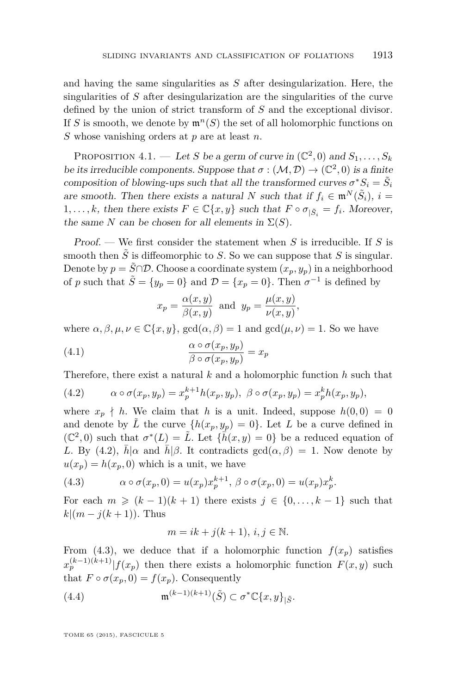<span id="page-17-0"></span>and having the same singularities as *S* after desingularization. Here, the singularities of *S* after desingularization are the singularities of the curve defined by the union of strict transform of *S* and the exceptional divisor. If *S* is smooth, we denote by  $\mathfrak{m}^n(S)$  the set of all holomorphic functions on *S* whose vanishing orders at *p* are at least *n*.

PROPOSITION 4.1. — Let *S* be a germ of curve in  $(\mathbb{C}^2,0)$  and  $S_1,\ldots,S_k$ be its irreducible components. Suppose that  $\sigma : (\mathcal{M}, \mathcal{D}) \to (\mathbb{C}^2, 0)$  is a finite composition of blowing-ups such that all the transformed curves  $\sigma^* S_i = \tilde{S}_i$ are smooth. Then there exists a natural *N* such that if  $f_i \in \mathfrak{m}^N(\tilde{S}_i)$ ,  $i =$ 1,...,k, then there exists  $F \in \mathbb{C}\{x, y\}$  such that  $F \circ \sigma_{|\tilde{S}_i} = f_i$ . Moreover, the same *N* can be chosen for all elements in  $\Sigma(S)$ .

Proof. — We first consider the statement when *S* is irreducible. If *S* is smooth then  $\tilde{S}$  is diffeomorphic to *S*. So we can suppose that *S* is singular. Denote by  $p = \tilde{S} \cap \mathcal{D}$ . Choose a coordinate system  $(x_p, y_p)$  in a neighborhood of *p* such that  $\tilde{S} = \{y_p = 0\}$  and  $\mathcal{D} = \{x_p = 0\}$ . Then  $\sigma^{-1}$  is defined by

$$
x_p = \frac{\alpha(x, y)}{\beta(x, y)}
$$
 and  $y_p = \frac{\mu(x, y)}{\nu(x, y)}$ ,

where  $\alpha, \beta, \mu, \nu \in \mathbb{C}\{x, y\}$ ,  $gcd(\alpha, \beta) = 1$  and  $gcd(\mu, \nu) = 1$ . So we have

(4.1) 
$$
\frac{\alpha \circ \sigma(x_p, y_p)}{\beta \circ \sigma(x_p, y_p)} = x_p
$$

Therefore, there exist a natural *k* and a holomorphic function *h* such that

(4.2) 
$$
\alpha \circ \sigma(x_p, y_p) = x_p^{k+1} h(x_p, y_p), \ \beta \circ \sigma(x_p, y_p) = x_p^k h(x_p, y_p),
$$

where  $x_p \nmid h$ . We claim that *h* is a unit. Indeed, suppose  $h(0,0) = 0$ and denote by  $\tilde{L}$  the curve  $\{h(x_p, y_p) = 0\}$ . Let L be a curve defined in  $(\mathbb{C}^2, 0)$  such that  $\sigma^*(L) = \tilde{L}$ . Let  $\{\bar{h}(x, y) = 0\}$  be a reduced equation of *L*. By (4.2),  $h|\alpha$  and  $h|\beta$ . It contradicts gcd( $\alpha, \beta$ ) = 1. Now denote by  $u(x_p) = h(x_p, 0)$  which is a unit, we have

(4.3) 
$$
\alpha \circ \sigma(x_p, 0) = u(x_p) x_p^{k+1}, \ \beta \circ \sigma(x_p, 0) = u(x_p) x_p^k.
$$

For each  $m \geq (k-1)(k+1)$  there exists  $j \in \{0, \ldots, k-1\}$  such that  $k|(m - j(k + 1))$ . Thus

$$
m = ik + j(k+1), \, i, j \in \mathbb{N}.
$$

From (4.3), we deduce that if a holomorphic function  $f(x_p)$  satisfies  $x_p^{(k-1)(k+1)}$  |  $f(x_p)$  then there exists a holomorphic function  $F(x, y)$  such that  $F \circ \sigma(x_p, 0) = f(x_p)$ . Consequently

(4.4) 
$$
\mathfrak{m}^{(k-1)(k+1)}(\tilde{S}) \subset \sigma^* \mathbb{C}\{x,y\}_{|\tilde{S}}.
$$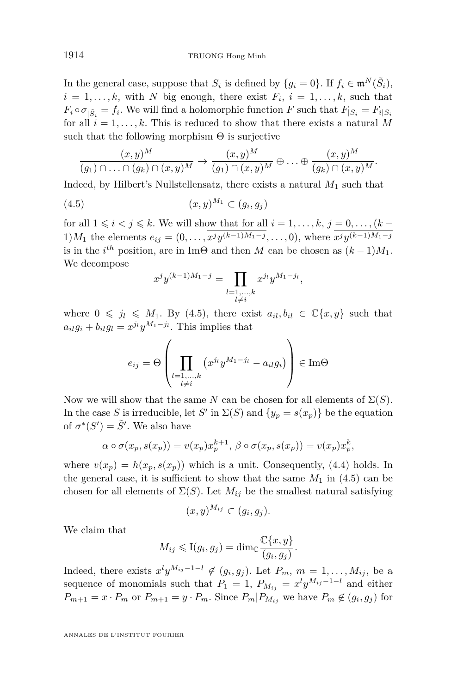In the general case, suppose that  $S_i$  is defined by  $\{g_i = 0\}$ . If  $f_i \in \mathfrak{m}^N(\tilde{S}_i)$ ,  $i = 1, \ldots, k$ , with *N* big enough, there exist  $F_i$ ,  $i = 1, \ldots, k$ , such that  $F_i \circ \sigma_{|\tilde{S}_i} = f_i$ . We will find a holomorphic function *F* such that  $F_{|S_i} = F_i|_{S_i}$ for all  $i = 1, \ldots, k$ . This is reduced to show that there exists a natural M such that the following morphism  $\Theta$  is surjective

$$
\frac{(x,y)^M}{(g_1)\cap \ldots \cap (g_k)\cap (x,y)^M} \to \frac{(x,y)^M}{(g_1)\cap (x,y)^M} \oplus \ldots \oplus \frac{(x,y)^M}{(g_k)\cap (x,y)^M}.
$$

Indeed, by Hilbert's Nullstellensatz, there exists a natural *M*<sup>1</sup> such that

$$
(4.5) \qquad \qquad (x,y)^{M_1} \subset (g_i,g_j)
$$

for all  $1 \leq i < j \leq k$ . We will show that for all  $i = 1, \ldots, k, j = 0, \ldots, (k - 1)$  $1)M_1$  the elements  $e_{ij} = (0, \ldots, x^j y^{(k-1)M_1-j}, \ldots, 0)$ , where  $x^j y^{(k-1)M_1-j}$ is in the  $i^{th}$  position, are in Im $\Theta$  and then *M* can be chosen as  $(k-1)M_1$ . We decompose

$$
x^{j}y^{(k-1)M_1-j} = \prod_{\substack{l=1,\ldots,k \\ l \neq i}} x^{j_l}y^{M_1-j_l},
$$

where  $0 \leq j_l \leq M_1$ . By (4.5), there exist  $a_{il}, b_{il} \in \mathbb{C}\{x, y\}$  such that  $a_{il}g_i + b_{il}g_l = x^{j_l}y^{M_1-j_l}$ . This implies that

$$
e_{ij} = \Theta \left( \prod_{\substack{l=1,\ldots,k \\ l \neq i}} \left( x^{j_l} y^{M_1 - j_l} - a_{il} g_i \right) \right) \in \text{Im}\Theta
$$

Now we will show that the same *N* can be chosen for all elements of  $\Sigma(S)$ . In the case *S* is irreducible, let *S'* in  $\Sigma(S)$  and  $\{y_p = s(x_p)\}\)$  be the equation of  $\sigma^*(S') = \tilde{S}'$ . We also have

$$
\alpha \circ \sigma(x_p, s(x_p)) = v(x_p)x_p^{k+1}, \ \beta \circ \sigma(x_p, s(x_p)) = v(x_p)x_p^k,
$$

where  $v(x_p) = h(x_p, s(x_p))$  which is a unit. Consequently, [\(4.4\)](#page-17-0) holds. In the general case, it is sufficient to show that the same  $M_1$  in (4.5) can be chosen for all elements of  $\Sigma(S)$ . Let  $M_{ij}$  be the smallest natural satisfying

$$
(x,y)^{M_{ij}} \subset (g_i,g_j).
$$

We claim that

$$
M_{ij} \leqslant I(g_i, g_j) = \dim_{\mathbb{C}} \frac{\mathbb{C}\{x, y\}}{(g_i, g_j)}.
$$

Indeed, there exists  $x^l y^{M_{ij}-1-l} \notin (g_i, g_j)$ . Let  $P_m$ ,  $m = 1, \ldots, M_{ij}$ , be a sequence of monomials such that  $P_1 = 1$ ,  $P_{M_{ij}} = x^{l}y^{M_{ij}-1-l}$  and either  $P_{m+1} = x \cdot P_m$  or  $P_{m+1} = y \cdot P_m$ . Since  $P_m | P_{M_{ij}}$  we have  $P_m \notin (g_i, g_j)$  for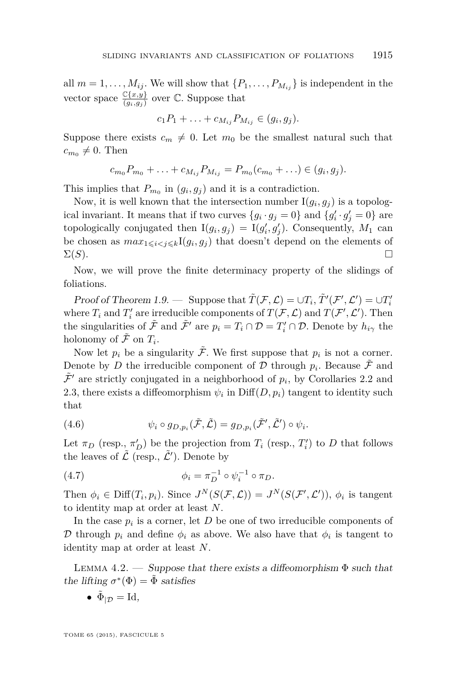<span id="page-19-0"></span>all  $m = 1, \ldots, M_{ij}$ . We will show that  $\{P_1, \ldots, P_{M_{ij}}\}$  is independent in the vector space  $\frac{\mathbb{C}\{x,y\}}{(g_i,g_j)}$  over  $\mathbb{C}$ . Suppose that

$$
c_1P_1+\ldots+c_{M_{ij}}P_{M_{ij}}\in (g_i,g_j).
$$

Suppose there exists  $c_m \neq 0$ . Let  $m_0$  be the smallest natural such that  $c_{m_0} \neq 0$ . Then

$$
c_{m_0}P_{m_0} + \ldots + c_{M_{ij}}P_{M_{ij}} = P_{m_0}(c_{m_0} + \ldots) \in (g_i, g_j).
$$

This implies that  $P_{m_0}$  in  $(g_i, g_j)$  and it is a contradiction.

Now, it is well known that the intersection number  $I(g_i, g_j)$  is a topological invariant. It means that if two curves  $\{g_i \cdot g_j = 0\}$  and  $\{g'_i \cdot g'_j = 0\}$  are topologically conjugated then  $I(g_i, g_j) = I(g'_i, g'_j)$ . Consequently,  $M_1$  can be chosen as  $max_{1 \leq i \leq j \leq k} I(g_i, g_j)$  that doesn't depend on the elements of  $\Sigma(S)$ .

Now, we will prove the finite determinacy property of the slidings of foliations.

Proof of Theorem [1.9.](#page-8-0) — Suppose that  $\tilde{T}(\mathcal{F}, \mathcal{L}) = \cup T_i$ ,  $\tilde{T}'(\mathcal{F}', \mathcal{L}') = \cup T'_i$ where  $T_i$  and  $T'_i$  are irreducible components of  $T(\mathcal{F}, \mathcal{L})$  and  $T(\mathcal{F}', \mathcal{L}')$ . Then the singularities of  $\tilde{\mathcal{F}}$  and  $\tilde{\mathcal{F}}'$  are  $p_i = T_i \cap \mathcal{D} = T'_i \cap \mathcal{D}$ . Denote by  $h_{i\gamma}$  the holonomy of  $\tilde{\mathcal{F}}$  on  $T_i$ .

Now let  $p_i$  be a singularity  $\tilde{\mathcal{F}}$ . We first suppose that  $p_i$  is not a corner. Denote by *D* the irreducible component of  $D$  through  $p_i$ . Because  $\tilde{\mathcal{F}}$  and  $\tilde{\mathcal{F}}'$  are strictly conjugated in a neighborhood of  $p_i$ , by Corollaries [2.2](#page-12-0) and [2.3,](#page-13-0) there exists a diffeomorphism  $\psi_i$  in  $\text{Diff}(D, p_i)$  tangent to identity such that

(4.6) 
$$
\psi_i \circ g_{D,p_i}(\tilde{\mathcal{F}}, \tilde{\mathcal{L}}) = g_{D,p_i}(\tilde{\mathcal{F}}', \tilde{\mathcal{L}}') \circ \psi_i.
$$

Let  $\pi_D$  (resp.,  $\pi'_D$ ) be the projection from  $T_i$  (resp.,  $T'_i$ ) to D that follows the leaves of  $\tilde{\mathcal{L}}$  (resp.,  $\tilde{\mathcal{L}}'$ ). Denote by

(4.7) 
$$
\phi_i = \pi_D^{-1} \circ \psi_i^{-1} \circ \pi_D.
$$

Then  $\phi_i \in \text{Diff}(T_i, p_i)$ . Since  $J^N(S(\mathcal{F}, \mathcal{L})) = J^N(S(\mathcal{F}', \mathcal{L}'))$ ,  $\phi_i$  is tangent to identity map at order at least *N*.

In the case  $p_i$  is a corner, let  $D$  be one of two irreducible components of D through  $p_i$  and define  $\phi_i$  as above. We also have that  $\phi_i$  is tangent to identity map at order at least *N*.

LEMMA 4.2. — Suppose that there exists a diffeomorphism  $\Phi$  such that the lifting  $\sigma^*(\Phi) = \tilde{\Phi}$  satisfies

•  $\tilde{\Phi}_{|\mathcal{D}} = \text{Id},$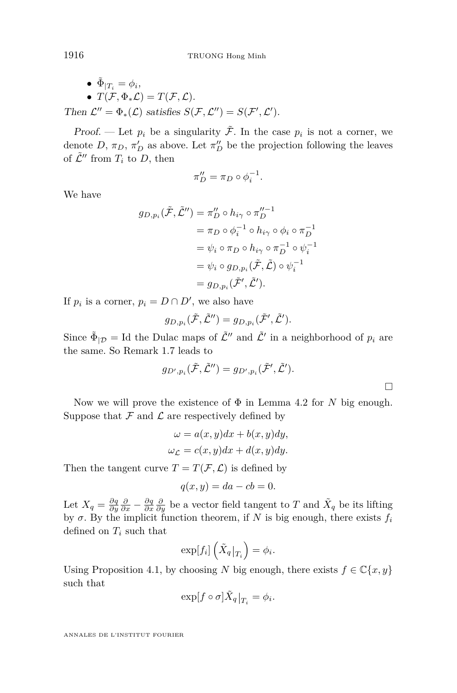\n- \n
$$
\tilde{\Phi}_{|T_i} = \phi_i,
$$
\n
\n- \n $T(\mathcal{F}, \Phi_* \mathcal{L}) = T(\mathcal{F}, \mathcal{L}).$ \n
\n- \n Then  $\mathcal{L}'' = \Phi_*(\mathcal{L})$  satisfies  $S(\mathcal{F}, \mathcal{L}'') = S(\mathcal{F}', \mathcal{L}')$ .\n
\n

Proof. — Let  $p_i$  be a singularity  $\tilde{\mathcal{F}}$ . In the case  $p_i$  is not a corner, we denote *D*,  $\pi_D$ ,  $\pi'_D$  as above. Let  $\pi''_D$  be the projection following the leaves of  $\tilde{\mathcal{L}}''$  from  $T_i$  to D, then

$$
\pi_D'' = \pi_D \circ \phi_i^{-1}.
$$

We have

$$
g_{D,p_i}(\tilde{\mathcal{F}}, \tilde{\mathcal{L}}'') = \pi_D'' \circ h_{i\gamma} \circ \pi_D''^{-1}
$$
  
=  $\pi_D \circ \phi_i^{-1} \circ h_{i\gamma} \circ \phi_i \circ \pi_D^{-1}$   
=  $\psi_i \circ \pi_D \circ h_{i\gamma} \circ \pi_D^{-1} \circ \psi_i^{-1}$   
=  $\psi_i \circ g_{D,p_i}(\tilde{\mathcal{F}}, \tilde{\mathcal{L}}) \circ \psi_i^{-1}$   
=  $g_{D,p_i}(\tilde{\mathcal{F}}', \tilde{\mathcal{L}}').$ 

If  $p_i$  is a corner,  $p_i = D \cap D'$ , we also have

$$
g_{D,p_i}(\tilde{\mathcal{F}},\tilde{\mathcal{L}}'')=g_{D,p_i}(\tilde{\mathcal{F}}',\tilde{\mathcal{L}}').
$$

Since  $\tilde{\Phi}_{|\mathcal{D}} =$  Id the Dulac maps of  $\tilde{\mathcal{L}}''$  and  $\tilde{\mathcal{L}}'$  in a neighborhood of  $p_i$  are the same. So Remark [1.7](#page-7-0) leads to

$$
g_{D',p_i}(\tilde{\mathcal{F}},\tilde{\mathcal{L}}'')=g_{D',p_i}(\tilde{\mathcal{F}}',\tilde{\mathcal{L}}').
$$

Now we will prove the existence of  $\Phi$  in Lemma [4.2](#page-19-0) for *N* big enough. Suppose that  $\mathcal F$  and  $\mathcal L$  are respectively defined by

$$
\omega = a(x, y)dx + b(x, y)dy,
$$
  

$$
\omega_{\mathcal{L}} = c(x, y)dx + d(x, y)dy.
$$

Then the tangent curve  $T = T(\mathcal{F}, \mathcal{L})$  is defined by

$$
q(x, y) = da - cb = 0.
$$

Let  $X_q = \frac{\partial q}{\partial y} \frac{\partial}{\partial x} - \frac{\partial q}{\partial x} \frac{\partial}{\partial y}$  be a vector field tangent to *T* and  $\tilde{X}_q$  be its lifting by  $\sigma$ . By the implicit function theorem, if *N* is big enough, there exists  $f_i$ defined on *T<sup>i</sup>* such that

$$
\exp[f_i]\left(\tilde{X}_q|_{T_i}\right) = \phi_i.
$$

Using Proposition [4.1,](#page-17-0) by choosing *N* big enough, there exists  $f \in \mathbb{C}\{x, y\}$ such that

$$
\exp[f\circ\sigma]\tilde X_q|_{T_i}=\phi_i.
$$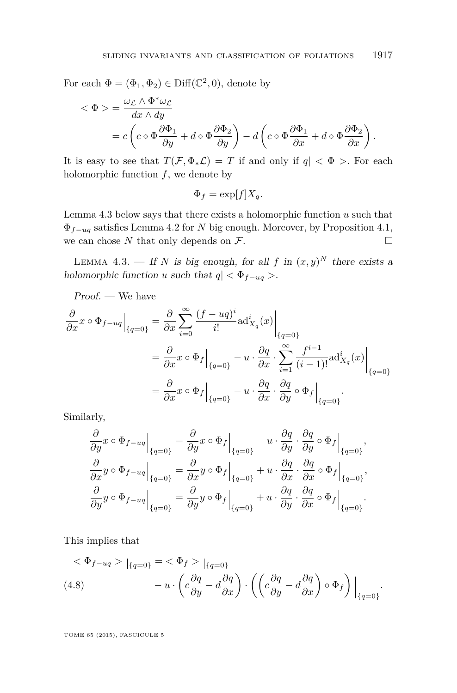<span id="page-21-0"></span>For each  $\Phi = (\Phi_1, \Phi_2) \in \text{Diff}(\mathbb{C}^2, 0)$ , denote by

$$
\langle \Phi \rangle = \frac{\omega_{\mathcal{L}} \wedge \Phi^* \omega_{\mathcal{L}}}{dx \wedge dy} \n= c \left( c \circ \Phi \frac{\partial \Phi_1}{\partial y} + d \circ \Phi \frac{\partial \Phi_2}{\partial y} \right) - d \left( c \circ \Phi \frac{\partial \Phi_1}{\partial x} + d \circ \Phi \frac{\partial \Phi_2}{\partial x} \right).
$$

It is easy to see that  $T(F, \Phi_* \mathcal{L}) = T$  if and only if  $q < \Phi >$ . For each holomorphic function *f*, we denote by

$$
\Phi_f = \exp[f]X_q.
$$

Lemma 4.3 below says that there exists a holomorphic function *u* such that Φ*f*−*uq* satisfies Lemma [4.2](#page-19-0) for *N* big enough. Moreover, by Proposition [4.1,](#page-17-0) we can chose  $N$  that only depends on  $\mathcal{F}$ .

LEMMA 4.3. — If *N* is big enough, for all *f* in  $(x, y)^N$  there exists a holomorphic function *u* such that  $q \leq \Phi_{f-uq}$ .

Proof. — We have

$$
\frac{\partial}{\partial x} x \circ \Phi_{f-uq} \Big|_{\{q=0\}} = \frac{\partial}{\partial x} \sum_{i=0}^{\infty} \frac{(f - uq)^i}{i!} \text{ad}_{X_q}^i(x) \Big|_{\{q=0\}}
$$

$$
= \frac{\partial}{\partial x} x \circ \Phi_f \Big|_{\{q=0\}} - u \cdot \frac{\partial q}{\partial x} \cdot \sum_{i=1}^{\infty} \frac{f^{i-1}}{(i-1)!} \text{ad}_{X_q}^i(x) \Big|_{\{q=0\}}
$$

$$
= \frac{\partial}{\partial x} x \circ \Phi_f \Big|_{\{q=0\}} - u \cdot \frac{\partial q}{\partial x} \cdot \frac{\partial q}{\partial y} \circ \Phi_f \Big|_{\{q=0\}}
$$

Similarly,

$$
\frac{\partial}{\partial y} x \circ \Phi_{f-uq} \Big|_{\{q=0\}} = \frac{\partial}{\partial y} x \circ \Phi_{f} \Big|_{\{q=0\}} - u \cdot \frac{\partial q}{\partial y} \cdot \frac{\partial q}{\partial y} \circ \Phi_{f} \Big|_{\{q=0\}},
$$
  

$$
\frac{\partial}{\partial x} y \circ \Phi_{f-uq} \Big|_{\{q=0\}} = \frac{\partial}{\partial x} y \circ \Phi_{f} \Big|_{\{q=0\}} + u \cdot \frac{\partial q}{\partial x} \cdot \frac{\partial q}{\partial x} \circ \Phi_{f} \Big|_{\{q=0\}},
$$
  

$$
\frac{\partial}{\partial y} y \circ \Phi_{f-uq} \Big|_{\{q=0\}} = \frac{\partial}{\partial y} y \circ \Phi_{f} \Big|_{\{q=0\}} + u \cdot \frac{\partial q}{\partial y} \cdot \frac{\partial q}{\partial x} \circ \Phi_{f} \Big|_{\{q=0\}}.
$$

This implies that

$$
\langle \Phi_{f-uq} \rangle |_{\{q=0\}} = \langle \Phi_f \rangle |_{\{q=0\}}
$$
  
(4.8) 
$$
-u \cdot \left( c \frac{\partial q}{\partial y} - d \frac{\partial q}{\partial x} \right) \cdot \left( \left( c \frac{\partial q}{\partial y} - d \frac{\partial q}{\partial x} \right) \circ \Phi_f \right) |_{\{q=0\}}.
$$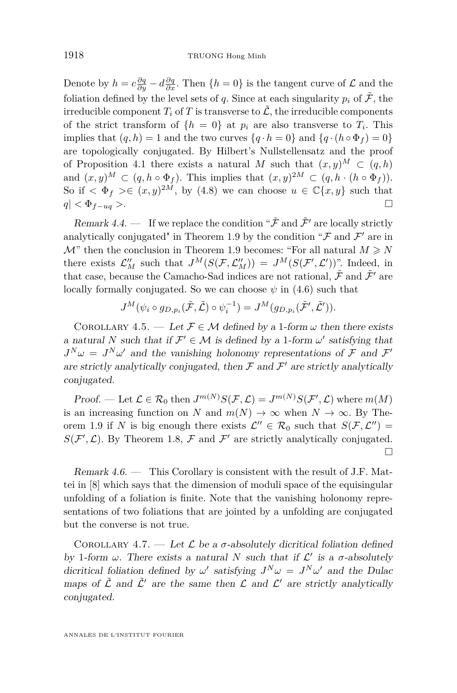<span id="page-22-0"></span>Denote by  $h = c \frac{\partial q}{\partial y} - d \frac{\partial q}{\partial x}$ . Then  $\{h = 0\}$  is the tangent curve of  $\mathcal{L}$  and the foliation defined by the level sets of *q*. Since at each singularity  $p_i$  of  $\tilde{\mathcal{F}}$ , the irreducible component  $T_i$  of  $T$  is transverse to  $\tilde{\mathcal{L}}$ , the irreducible components of the strict transform of  $\{h = 0\}$  at  $p_i$  are also transverse to  $T_i$ . This implies that  $(q, h) = 1$  and the two curves  $\{q \cdot h = 0\}$  and  $\{q \cdot (h \circ \Phi_f) = 0\}$ are topologically conjugated. By Hilbert's Nullstellensatz and the proof of Proposition [4.1](#page-17-0) there exists a natural *M* such that  $(x, y)^M \subset (q, h)$ and  $(x, y)^M \subset (q, h \circ \Phi_f)$ . This implies that  $(x, y)^{2M} \subset (q, h \cdot (h \circ \Phi_f))$ . So if  $\langle \Phi_f \rangle \in (x, y)^{2M}$ , by [\(4.8\)](#page-21-0) we can choose  $u \in \mathbb{C}\{x, y\}$  such that  $q \mid \langle \Phi_{f-uq} \rangle$ .

Remark 4.4. — If we replace the condition " $\tilde{\mathcal{F}}$  and  $\tilde{\mathcal{F}}'$  are locally strictly analytically conjugated" in Theorem [1.9](#page-8-0) by the condition " $\mathcal F$  and  $\mathcal F'$  are in  $\mathcal{M}$ " then the conclusion in Theorem [1.9](#page-8-0) becomes: "For all natural  $M \geq N$ there exists  $\mathcal{L}_M''$  such that  $J^M(S(\mathcal{F}, \mathcal{L}_M'')) = J^M(S(\mathcal{F}', \mathcal{L}'))$ ". Indeed, in that case, because the Camacho-Sad indices are not rational,  $\tilde{\mathcal{F}}$  and  $\tilde{\mathcal{F}}'$  are locally formally conjugated. So we can choose  $\psi$  in [\(4.6\)](#page-19-0) such that

$$
J^M(\psi_i \circ g_{D,p_i}(\tilde{\mathcal{F}}, \tilde{\mathcal{L}}) \circ \psi_i^{-1}) = J^M(g_{D,p_i}(\tilde{\mathcal{F}}', \tilde{\mathcal{L}}')).
$$

COROLLARY 4.5. — Let  $\mathcal{F} \in \mathcal{M}$  defined by a 1-form  $\omega$  then there exists a natural *N* such that if  $\mathcal{F}' \in \mathcal{M}$  is defined by a 1-form  $\omega'$  satisfying that  $J^N\omega = J^N\omega'$  and the vanishing holonomy representations of F and F' are strictly analytically conjugated, then  $\mathcal F$  and  $\mathcal F'$  are strictly analytically conjugated.

Proof. — Let  $\mathcal{L} \in \mathcal{R}_0$  then  $J^{m(N)}S(\mathcal{F}, \mathcal{L}) = J^{m(N)}S(\mathcal{F}', \mathcal{L})$  where  $m(M)$ is an increasing function on *N* and  $m(N) \to \infty$  when  $N \to \infty$ . By The-orem [1.9](#page-8-0) if *N* is big enough there exists  $\mathcal{L}'' \in \mathcal{R}_0$  such that  $S(\mathcal{F}, \mathcal{L}'') =$  $S(\mathcal{F}', \mathcal{L})$ . By Theorem [1.8,](#page-8-0)  $\mathcal F$  and  $\mathcal F'$  are strictly analytically conjugated.  $\Box$ 

Remark 4.6. — This Corollary is consistent with the result of J.F. Mattei in [\[8\]](#page-24-0) which says that the dimension of moduli space of the equisingular unfolding of a foliation is finite. Note that the vanishing holonomy representations of two foliations that are jointed by a unfolding are conjugated but the converse is not true.

COROLLARY 4.7. — Let  $\mathcal L$  be a  $\sigma$ -absolutely dicritical foliation defined by 1-form  $\omega$ . There exists a natural *N* such that if  $\mathcal{L}'$  is a  $\sigma$ -absolutely dicritical foliation defined by  $\omega'$  satisfying  $J^N \omega = J^N \omega'$  and the Dulac maps of  $\tilde{\mathcal{L}}$  and  $\tilde{\mathcal{L}}'$  are the same then  $\mathcal{L}$  and  $\mathcal{L}'$  are strictly analytically conjugated.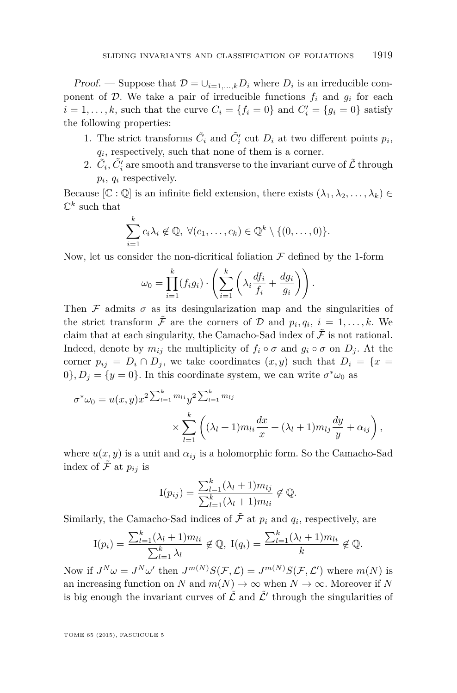Proof. — Suppose that  $\mathcal{D} = \bigcup_{i=1,\dots,k} D_i$  where  $D_i$  is an irreducible component of  $\mathcal{D}$ . We take a pair of irreducible functions  $f_i$  and  $g_i$  for each  $i = 1, \ldots, k$ , such that the curve  $C_i = \{f_i = 0\}$  and  $C'_i = \{g_i = 0\}$  satisfy the following properties:

- 1. The strict transforms  $\tilde{C}_i$  and  $\tilde{C}'_i$  cut  $D_i$  at two different points  $p_i$ , *qi* , respectively, such that none of them is a corner.
- 2.  $\tilde{C}_i$ ,  $\tilde{C}'_i$  are smooth and transverse to the invariant curve of  $\tilde{\mathcal{L}}$  through *pi* , *q<sup>i</sup>* respectively.

Because  $[\mathbb{C} : \mathbb{Q}]$  is an infinite field extension, there exists  $(\lambda_1, \lambda_2, \ldots, \lambda_k) \in$  $\mathbb{C}^k$  such that

$$
\sum_{i=1}^k c_i \lambda_i \notin \mathbb{Q}, \ \forall (c_1, \ldots, c_k) \in \mathbb{Q}^k \setminus \{(0, \ldots, 0)\}.
$$

Now, let us consider the non-dicritical foliation  $\mathcal F$  defined by the 1-form

$$
\omega_0 = \prod_{i=1}^k (f_i g_i) \cdot \left( \sum_{i=1}^k \left( \lambda_i \frac{df_i}{f_i} + \frac{dg_i}{g_i} \right) \right).
$$

Then  $\mathcal F$  admits  $\sigma$  as its desingularization map and the singularities of the strict transform  $\tilde{\mathcal{F}}$  are the corners of  $\mathcal{D}$  and  $p_i, q_i, i = 1, \ldots, k$ . We claim that at each singularity, the Camacho-Sad index of  $\tilde{\mathcal{F}}$  is not rational. Indeed, denote by  $m_{ij}$  the multiplicity of  $f_i \circ \sigma$  and  $g_i \circ \sigma$  on  $D_j$ . At the corner  $p_{ij} = D_i \cap D_j$ , we take coordinates  $(x, y)$  such that  $D_i = \{x =$  $0$ ,  $D_j = \{y = 0\}$ . In this coordinate system, we can write  $\sigma^* \omega_0$  as

$$
\sigma^* \omega_0 = u(x, y) x^{2 \sum_{l=1}^k m_{li}} y^{2 \sum_{l=1}^k m_{lj}} \times \sum_{l=1}^k \left( (\lambda_l + 1) m_{li} \frac{dx}{x} + (\lambda_l + 1) m_{lj} \frac{dy}{y} + \alpha_{ij} \right),
$$

where  $u(x, y)$  is a unit and  $\alpha_{ij}$  is a holomorphic form. So the Camacho-Sad index of  $\tilde{\mathcal{F}}$  at  $p_{ij}$  is

$$
I(p_{ij}) = \frac{\sum_{l=1}^{k} (\lambda_l + 1) m_{lj}}{\sum_{l=1}^{k} (\lambda_l + 1) m_{li}} \notin \mathbb{Q}.
$$

Similarly, the Camacho-Sad indices of  $\tilde{\mathcal{F}}$  at  $p_i$  and  $q_i$ , respectively, are

$$
I(p_i) = \frac{\sum_{l=1}^k (\lambda_l + 1) m_{li}}{\sum_{l=1}^k \lambda_l} \notin \mathbb{Q}, \ I(q_i) = \frac{\sum_{l=1}^k (\lambda_l + 1) m_{li}}{k} \notin \mathbb{Q}.
$$

Now if  $J^N\omega = J^N\omega'$  then  $J^{m(N)}S(\mathcal{F},\mathcal{L}) = J^{m(N)}S(\mathcal{F},\mathcal{L}')$  where  $m(N)$  is an increasing function on *N* and  $m(N) \to \infty$  when  $N \to \infty$ . Moreover if N is big enough the invariant curves of  $\tilde{\mathcal{L}}$  and  $\tilde{\mathcal{L}}'$  through the singularities of